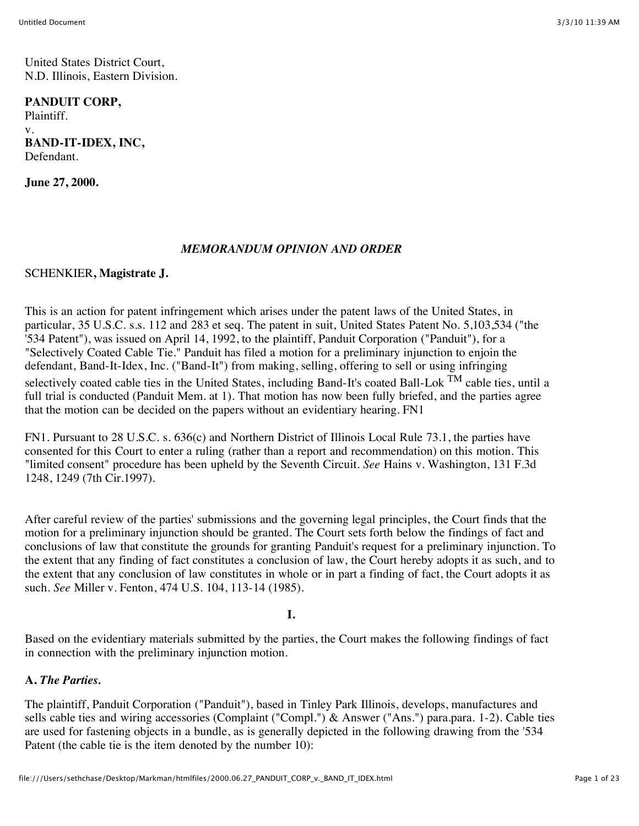United States District Court, N.D. Illinois, Eastern Division.

### **PANDUIT CORP,**

Plaintiff. v. **BAND-IT-IDEX, INC,** Defendant.

**June 27, 2000.**

### *MEMORANDUM OPINION AND ORDER*

#### SCHENKIER**, Magistrate J.**

This is an action for patent infringement which arises under the patent laws of the United States, in particular, 35 U.S.C. s.s. 112 and 283 et seq. The patent in suit, United States Patent No. 5,103,534 ("the '534 Patent"), was issued on April 14, 1992, to the plaintiff, Panduit Corporation ("Panduit"), for a "Selectively Coated Cable Tie." Panduit has filed a motion for a preliminary injunction to enjoin the defendant, Band-It-Idex, Inc. ("Band-It") from making, selling, offering to sell or using infringing selectively coated cable ties in the United States, including Band-It's coated Ball-Lok <sup>TM</sup> cable ties, until a full trial is conducted (Panduit Mem. at 1). That motion has now been fully briefed, and the parties agree that the motion can be decided on the papers without an evidentiary hearing. FN1

FN1. Pursuant to 28 U.S.C. s. 636(c) and Northern District of Illinois Local Rule 73.1, the parties have consented for this Court to enter a ruling (rather than a report and recommendation) on this motion. This "limited consent" procedure has been upheld by the Seventh Circuit. *See* Hains v. Washington, 131 F.3d 1248, 1249 (7th Cir.1997).

After careful review of the parties' submissions and the governing legal principles, the Court finds that the motion for a preliminary injunction should be granted. The Court sets forth below the findings of fact and conclusions of law that constitute the grounds for granting Panduit's request for a preliminary injunction. To the extent that any finding of fact constitutes a conclusion of law, the Court hereby adopts it as such, and to the extent that any conclusion of law constitutes in whole or in part a finding of fact, the Court adopts it as such. *See* Miller v. Fenton, 474 U.S. 104, 113-14 (1985).

#### **I.**

Based on the evidentiary materials submitted by the parties, the Court makes the following findings of fact in connection with the preliminary injunction motion.

# **A.** *The Parties.*

The plaintiff, Panduit Corporation ("Panduit"), based in Tinley Park Illinois, develops, manufactures and sells cable ties and wiring accessories (Complaint ("Compl.") & Answer ("Ans.") para.para. 1-2). Cable ties are used for fastening objects in a bundle, as is generally depicted in the following drawing from the '534 Patent (the cable tie is the item denoted by the number 10):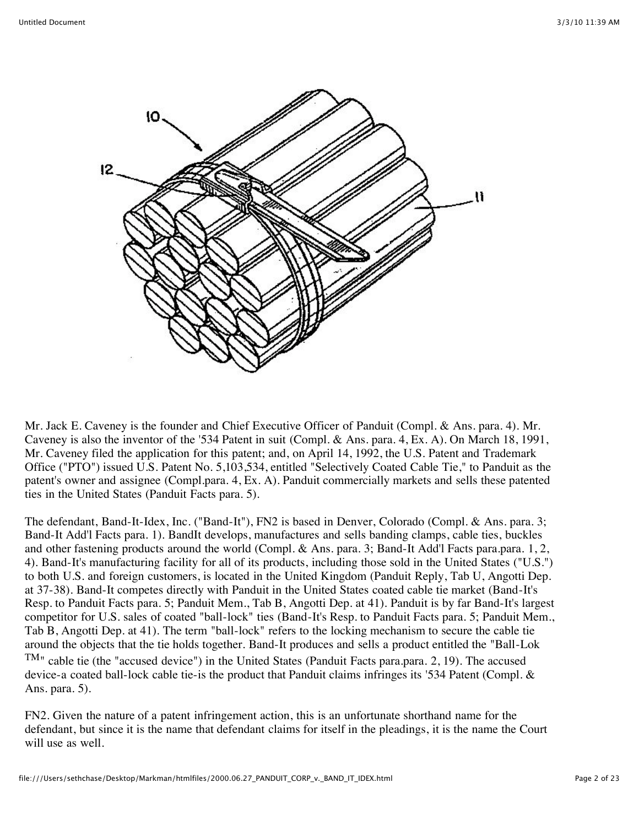

Mr. Jack E. Caveney is the founder and Chief Executive Officer of Panduit (Compl. & Ans. para. 4). Mr. Caveney is also the inventor of the '534 Patent in suit (Compl. & Ans. para. 4, Ex. A). On March 18, 1991, Mr. Caveney filed the application for this patent; and, on April 14, 1992, the U.S. Patent and Trademark Office ("PTO") issued U.S. Patent No. 5,103,534, entitled "Selectively Coated Cable Tie," to Panduit as the patent's owner and assignee (Compl.para. 4, Ex. A). Panduit commercially markets and sells these patented ties in the United States (Panduit Facts para. 5).

The defendant, Band-It-Idex, Inc. ("Band-It"), FN2 is based in Denver, Colorado (Compl. & Ans. para. 3; Band-It Add'l Facts para. 1). BandIt develops, manufactures and sells banding clamps, cable ties, buckles and other fastening products around the world (Compl. & Ans. para. 3; Band-It Add'l Facts para.para. 1, 2, 4). Band-It's manufacturing facility for all of its products, including those sold in the United States ("U.S.") to both U.S. and foreign customers, is located in the United Kingdom (Panduit Reply, Tab U, Angotti Dep. at 37-38). Band-It competes directly with Panduit in the United States coated cable tie market (Band-It's Resp. to Panduit Facts para. 5; Panduit Mem., Tab B, Angotti Dep. at 41). Panduit is by far Band-It's largest competitor for U.S. sales of coated "ball-lock" ties (Band-It's Resp. to Panduit Facts para. 5; Panduit Mem., Tab B, Angotti Dep. at 41). The term "ball-lock" refers to the locking mechanism to secure the cable tie around the objects that the tie holds together. Band-It produces and sells a product entitled the "Ball-Lok TM" cable tie (the "accused device") in the United States (Panduit Facts para.para. 2, 19). The accused device-a coated ball-lock cable tie-is the product that Panduit claims infringes its '534 Patent (Compl. & Ans. para. 5).

FN2. Given the nature of a patent infringement action, this is an unfortunate shorthand name for the defendant, but since it is the name that defendant claims for itself in the pleadings, it is the name the Court will use as well.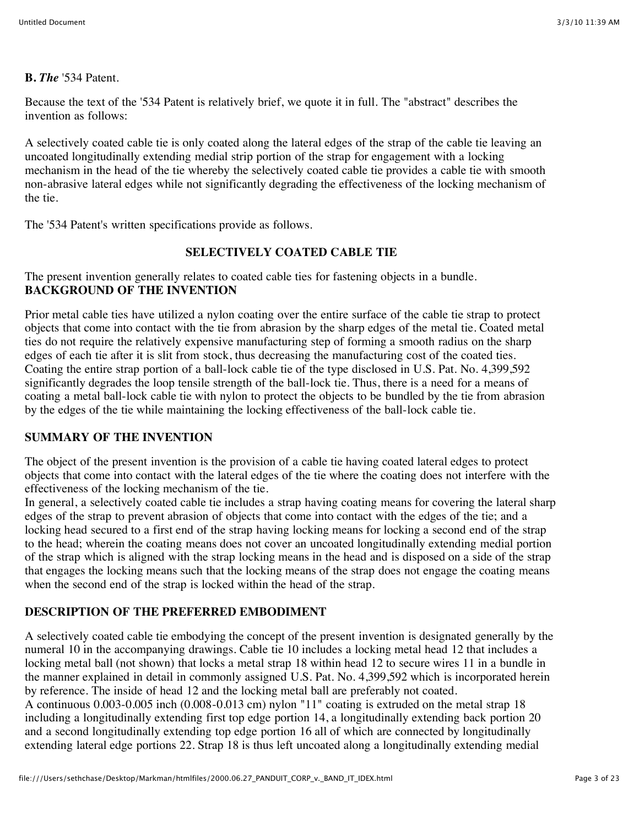### **B.** *The* '534 Patent.

Because the text of the '534 Patent is relatively brief, we quote it in full. The "abstract" describes the invention as follows:

A selectively coated cable tie is only coated along the lateral edges of the strap of the cable tie leaving an uncoated longitudinally extending medial strip portion of the strap for engagement with a locking mechanism in the head of the tie whereby the selectively coated cable tie provides a cable tie with smooth non-abrasive lateral edges while not significantly degrading the effectiveness of the locking mechanism of the tie.

The '534 Patent's written specifications provide as follows.

### **SELECTIVELY COATED CABLE TIE**

The present invention generally relates to coated cable ties for fastening objects in a bundle. **BACKGROUND OF THE INVENTION**

Prior metal cable ties have utilized a nylon coating over the entire surface of the cable tie strap to protect objects that come into contact with the tie from abrasion by the sharp edges of the metal tie. Coated metal ties do not require the relatively expensive manufacturing step of forming a smooth radius on the sharp edges of each tie after it is slit from stock, thus decreasing the manufacturing cost of the coated ties. Coating the entire strap portion of a ball-lock cable tie of the type disclosed in U.S. Pat. No. 4,399,592 significantly degrades the loop tensile strength of the ball-lock tie. Thus, there is a need for a means of coating a metal ball-lock cable tie with nylon to protect the objects to be bundled by the tie from abrasion by the edges of the tie while maintaining the locking effectiveness of the ball-lock cable tie.

### **SUMMARY OF THE INVENTION**

The object of the present invention is the provision of a cable tie having coated lateral edges to protect objects that come into contact with the lateral edges of the tie where the coating does not interfere with the effectiveness of the locking mechanism of the tie.

In general, a selectively coated cable tie includes a strap having coating means for covering the lateral sharp edges of the strap to prevent abrasion of objects that come into contact with the edges of the tie; and a locking head secured to a first end of the strap having locking means for locking a second end of the strap to the head; wherein the coating means does not cover an uncoated longitudinally extending medial portion of the strap which is aligned with the strap locking means in the head and is disposed on a side of the strap that engages the locking means such that the locking means of the strap does not engage the coating means when the second end of the strap is locked within the head of the strap.

## **DESCRIPTION OF THE PREFERRED EMBODIMENT**

A selectively coated cable tie embodying the concept of the present invention is designated generally by the numeral 10 in the accompanying drawings. Cable tie 10 includes a locking metal head 12 that includes a locking metal ball (not shown) that locks a metal strap 18 within head 12 to secure wires 11 in a bundle in the manner explained in detail in commonly assigned U.S. Pat. No. 4,399,592 which is incorporated herein by reference. The inside of head 12 and the locking metal ball are preferably not coated. A continuous 0.003-0.005 inch (0.008-0.013 cm) nylon "11" coating is extruded on the metal strap 18 including a longitudinally extending first top edge portion 14, a longitudinally extending back portion 20 and a second longitudinally extending top edge portion 16 all of which are connected by longitudinally extending lateral edge portions 22. Strap 18 is thus left uncoated along a longitudinally extending medial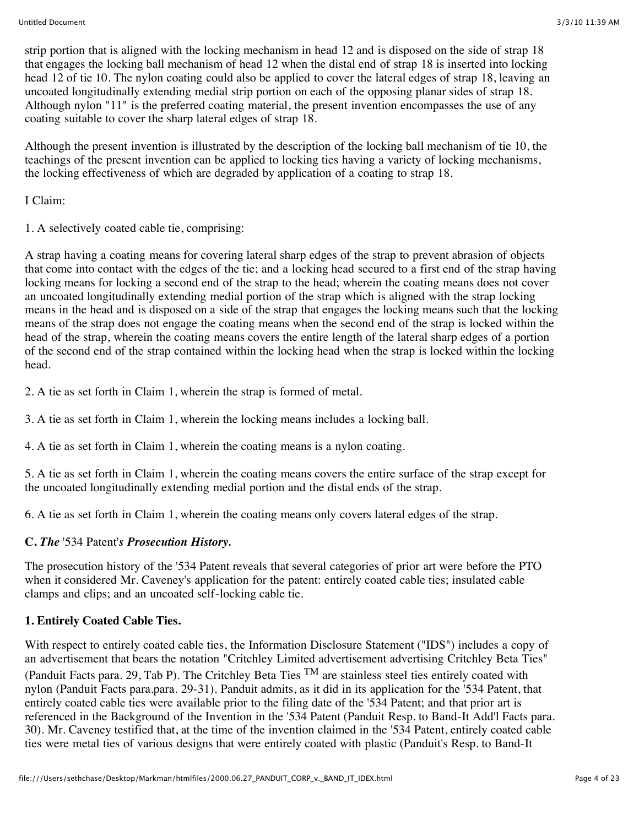strip portion that is aligned with the locking mechanism in head 12 and is disposed on the side of strap 18 that engages the locking ball mechanism of head 12 when the distal end of strap 18 is inserted into locking head 12 of tie 10. The nylon coating could also be applied to cover the lateral edges of strap 18, leaving an uncoated longitudinally extending medial strip portion on each of the opposing planar sides of strap 18. Although nylon "11" is the preferred coating material, the present invention encompasses the use of any coating suitable to cover the sharp lateral edges of strap 18.

Although the present invention is illustrated by the description of the locking ball mechanism of tie 10, the teachings of the present invention can be applied to locking ties having a variety of locking mechanisms, the locking effectiveness of which are degraded by application of a coating to strap 18.

I Claim:

1. A selectively coated cable tie, comprising:

A strap having a coating means for covering lateral sharp edges of the strap to prevent abrasion of objects that come into contact with the edges of the tie; and a locking head secured to a first end of the strap having locking means for locking a second end of the strap to the head; wherein the coating means does not cover an uncoated longitudinally extending medial portion of the strap which is aligned with the strap locking means in the head and is disposed on a side of the strap that engages the locking means such that the locking means of the strap does not engage the coating means when the second end of the strap is locked within the head of the strap, wherein the coating means covers the entire length of the lateral sharp edges of a portion of the second end of the strap contained within the locking head when the strap is locked within the locking head.

2. A tie as set forth in Claim 1, wherein the strap is formed of metal.

3. A tie as set forth in Claim 1, wherein the locking means includes a locking ball.

4. A tie as set forth in Claim 1, wherein the coating means is a nylon coating.

5. A tie as set forth in Claim 1, wherein the coating means covers the entire surface of the strap except for the uncoated longitudinally extending medial portion and the distal ends of the strap.

6. A tie as set forth in Claim 1, wherein the coating means only covers lateral edges of the strap.

# **C.** *The* '534 Patent'*s Prosecution History.*

The prosecution history of the '534 Patent reveals that several categories of prior art were before the PTO when it considered Mr. Caveney's application for the patent: entirely coated cable ties; insulated cable clamps and clips; and an uncoated self-locking cable tie.

# **1. Entirely Coated Cable Ties.**

With respect to entirely coated cable ties, the Information Disclosure Statement ("IDS") includes a copy of an advertisement that bears the notation "Critchley Limited advertisement advertising Critchley Beta Ties" (Panduit Facts para. 29, Tab P). The Critchley Beta Ties  $^{TM}$  are stainless steel ties entirely coated with nylon (Panduit Facts para.para. 29-31). Panduit admits, as it did in its application for the '534 Patent, that entirely coated cable ties were available prior to the filing date of the '534 Patent; and that prior art is referenced in the Background of the Invention in the '534 Patent (Panduit Resp. to Band-It Add'l Facts para. 30). Mr. Caveney testified that, at the time of the invention claimed in the '534 Patent, entirely coated cable ties were metal ties of various designs that were entirely coated with plastic (Panduit's Resp. to Band-It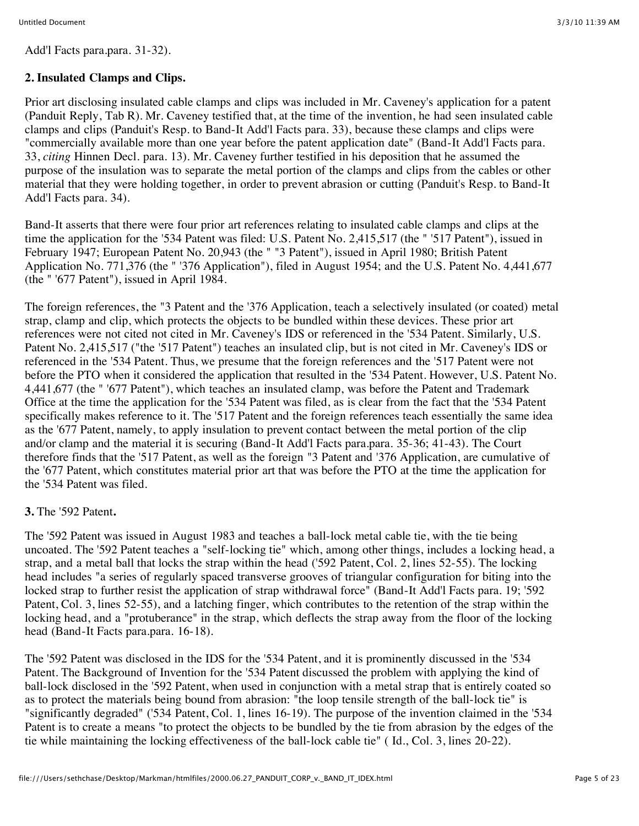Add'l Facts para.para. 31-32).

# **2. Insulated Clamps and Clips.**

Prior art disclosing insulated cable clamps and clips was included in Mr. Caveney's application for a patent (Panduit Reply, Tab R). Mr. Caveney testified that, at the time of the invention, he had seen insulated cable clamps and clips (Panduit's Resp. to Band-It Add'l Facts para. 33), because these clamps and clips were "commercially available more than one year before the patent application date" (Band-It Add'l Facts para. 33, *citing* Hinnen Decl. para. 13). Mr. Caveney further testified in his deposition that he assumed the purpose of the insulation was to separate the metal portion of the clamps and clips from the cables or other material that they were holding together, in order to prevent abrasion or cutting (Panduit's Resp. to Band-It Add'l Facts para. 34).

Band-It asserts that there were four prior art references relating to insulated cable clamps and clips at the time the application for the '534 Patent was filed: U.S. Patent No. 2,415,517 (the " '517 Patent"), issued in February 1947; European Patent No. 20,943 (the " "3 Patent"), issued in April 1980; British Patent Application No. 771,376 (the " '376 Application"), filed in August 1954; and the U.S. Patent No. 4,441,677 (the " '677 Patent"), issued in April 1984.

The foreign references, the "3 Patent and the '376 Application, teach a selectively insulated (or coated) metal strap, clamp and clip, which protects the objects to be bundled within these devices. These prior art references were not cited not cited in Mr. Caveney's IDS or referenced in the '534 Patent. Similarly, U.S. Patent No. 2,415,517 ("the '517 Patent") teaches an insulated clip, but is not cited in Mr. Caveney's IDS or referenced in the '534 Patent. Thus, we presume that the foreign references and the '517 Patent were not before the PTO when it considered the application that resulted in the '534 Patent. However, U.S. Patent No. 4,441,677 (the " '677 Patent"), which teaches an insulated clamp, was before the Patent and Trademark Office at the time the application for the '534 Patent was filed, as is clear from the fact that the '534 Patent specifically makes reference to it. The '517 Patent and the foreign references teach essentially the same idea as the '677 Patent, namely, to apply insulation to prevent contact between the metal portion of the clip and/or clamp and the material it is securing (Band-It Add'l Facts para.para. 35-36; 41-43). The Court therefore finds that the '517 Patent, as well as the foreign "3 Patent and '376 Application, are cumulative of the '677 Patent, which constitutes material prior art that was before the PTO at the time the application for the '534 Patent was filed.

# **3.** The '592 Patent**.**

The '592 Patent was issued in August 1983 and teaches a ball-lock metal cable tie, with the tie being uncoated. The '592 Patent teaches a "self-locking tie" which, among other things, includes a locking head, a strap, and a metal ball that locks the strap within the head ('592 Patent, Col. 2, lines 52-55). The locking head includes "a series of regularly spaced transverse grooves of triangular configuration for biting into the locked strap to further resist the application of strap withdrawal force" (Band-It Add'l Facts para. 19; '592 Patent, Col. 3, lines 52-55), and a latching finger, which contributes to the retention of the strap within the locking head, and a "protuberance" in the strap, which deflects the strap away from the floor of the locking head (Band-It Facts para.para. 16-18).

The '592 Patent was disclosed in the IDS for the '534 Patent, and it is prominently discussed in the '534 Patent. The Background of Invention for the '534 Patent discussed the problem with applying the kind of ball-lock disclosed in the '592 Patent, when used in conjunction with a metal strap that is entirely coated so as to protect the materials being bound from abrasion: "the loop tensile strength of the ball-lock tie" is "significantly degraded" ('534 Patent, Col. 1, lines 16-19). The purpose of the invention claimed in the '534 Patent is to create a means "to protect the objects to be bundled by the tie from abrasion by the edges of the tie while maintaining the locking effectiveness of the ball-lock cable tie" ( Id., Col. 3, lines 20-22).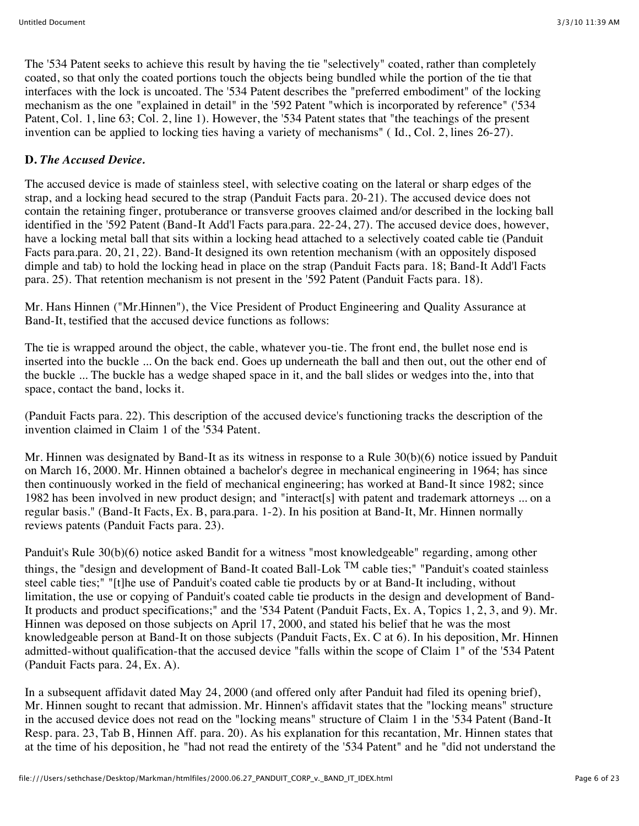The '534 Patent seeks to achieve this result by having the tie "selectively" coated, rather than completely coated, so that only the coated portions touch the objects being bundled while the portion of the tie that interfaces with the lock is uncoated. The '534 Patent describes the "preferred embodiment" of the locking mechanism as the one "explained in detail" in the '592 Patent "which is incorporated by reference" ('534 Patent, Col. 1, line 63; Col. 2, line 1). However, the '534 Patent states that "the teachings of the present invention can be applied to locking ties having a variety of mechanisms" ( Id., Col. 2, lines 26-27).

# **D.** *The Accused Device.*

The accused device is made of stainless steel, with selective coating on the lateral or sharp edges of the strap, and a locking head secured to the strap (Panduit Facts para. 20-21). The accused device does not contain the retaining finger, protuberance or transverse grooves claimed and/or described in the locking ball identified in the '592 Patent (Band-It Add'l Facts para.para. 22-24, 27). The accused device does, however, have a locking metal ball that sits within a locking head attached to a selectively coated cable tie (Panduit Facts para.para. 20, 21, 22). Band-It designed its own retention mechanism (with an oppositely disposed dimple and tab) to hold the locking head in place on the strap (Panduit Facts para. 18; Band-It Add'l Facts para. 25). That retention mechanism is not present in the '592 Patent (Panduit Facts para. 18).

Mr. Hans Hinnen ("Mr.Hinnen"), the Vice President of Product Engineering and Quality Assurance at Band-It, testified that the accused device functions as follows:

The tie is wrapped around the object, the cable, whatever you-tie. The front end, the bullet nose end is inserted into the buckle ... On the back end. Goes up underneath the ball and then out, out the other end of the buckle ... The buckle has a wedge shaped space in it, and the ball slides or wedges into the, into that space, contact the band, locks it.

(Panduit Facts para. 22). This description of the accused device's functioning tracks the description of the invention claimed in Claim 1 of the '534 Patent.

Mr. Hinnen was designated by Band-It as its witness in response to a Rule 30(b)(6) notice issued by Panduit on March 16, 2000. Mr. Hinnen obtained a bachelor's degree in mechanical engineering in 1964; has since then continuously worked in the field of mechanical engineering; has worked at Band-It since 1982; since 1982 has been involved in new product design; and "interact[s] with patent and trademark attorneys ... on a regular basis." (Band-It Facts, Ex. B, para.para. 1-2). In his position at Band-It, Mr. Hinnen normally reviews patents (Panduit Facts para. 23).

Panduit's Rule 30(b)(6) notice asked Bandit for a witness "most knowledgeable" regarding, among other things, the "design and development of Band-It coated Ball-Lok <sup>TM</sup> cable ties;" "Panduit's coated stainless steel cable ties;" "[t]he use of Panduit's coated cable tie products by or at Band-It including, without limitation, the use or copying of Panduit's coated cable tie products in the design and development of Band-It products and product specifications;" and the '534 Patent (Panduit Facts, Ex. A, Topics 1, 2, 3, and 9). Mr. Hinnen was deposed on those subjects on April 17, 2000, and stated his belief that he was the most knowledgeable person at Band-It on those subjects (Panduit Facts, Ex. C at 6). In his deposition, Mr. Hinnen admitted-without qualification-that the accused device "falls within the scope of Claim 1" of the '534 Patent (Panduit Facts para. 24, Ex. A).

In a subsequent affidavit dated May 24, 2000 (and offered only after Panduit had filed its opening brief), Mr. Hinnen sought to recant that admission. Mr. Hinnen's affidavit states that the "locking means" structure in the accused device does not read on the "locking means" structure of Claim 1 in the '534 Patent (Band-It Resp. para. 23, Tab B, Hinnen Aff. para. 20). As his explanation for this recantation, Mr. Hinnen states that at the time of his deposition, he "had not read the entirety of the '534 Patent" and he "did not understand the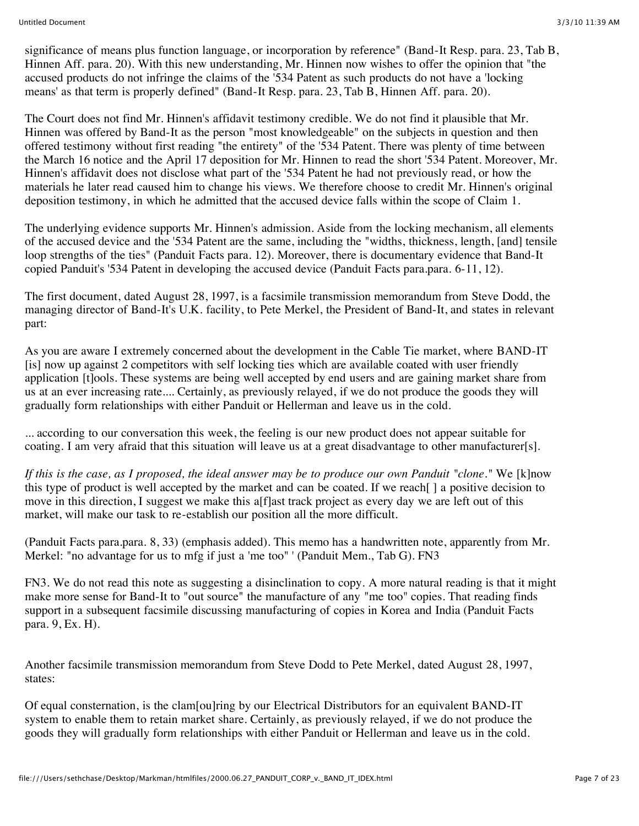significance of means plus function language, or incorporation by reference" (Band-It Resp. para. 23, Tab B, Hinnen Aff. para. 20). With this new understanding, Mr. Hinnen now wishes to offer the opinion that "the accused products do not infringe the claims of the '534 Patent as such products do not have a 'locking means' as that term is properly defined" (Band-It Resp. para. 23, Tab B, Hinnen Aff. para. 20).

The Court does not find Mr. Hinnen's affidavit testimony credible. We do not find it plausible that Mr. Hinnen was offered by Band-It as the person "most knowledgeable" on the subjects in question and then offered testimony without first reading "the entirety" of the '534 Patent. There was plenty of time between the March 16 notice and the April 17 deposition for Mr. Hinnen to read the short '534 Patent. Moreover, Mr. Hinnen's affidavit does not disclose what part of the '534 Patent he had not previously read, or how the materials he later read caused him to change his views. We therefore choose to credit Mr. Hinnen's original deposition testimony, in which he admitted that the accused device falls within the scope of Claim 1.

The underlying evidence supports Mr. Hinnen's admission. Aside from the locking mechanism, all elements of the accused device and the '534 Patent are the same, including the "widths, thickness, length, [and] tensile loop strengths of the ties" (Panduit Facts para. 12). Moreover, there is documentary evidence that Band-It copied Panduit's '534 Patent in developing the accused device (Panduit Facts para.para. 6-11, 12).

The first document, dated August 28, 1997, is a facsimile transmission memorandum from Steve Dodd, the managing director of Band-It's U.K. facility, to Pete Merkel, the President of Band-It, and states in relevant part:

As you are aware I extremely concerned about the development in the Cable Tie market, where BAND-IT [is] now up against 2 competitors with self locking ties which are available coated with user friendly application [t]ools. These systems are being well accepted by end users and are gaining market share from us at an ever increasing rate.... Certainly, as previously relayed, if we do not produce the goods they will gradually form relationships with either Panduit or Hellerman and leave us in the cold.

... according to our conversation this week, the feeling is our new product does not appear suitable for coating. I am very afraid that this situation will leave us at a great disadvantage to other manufacturer[s].

*If this is the case, as I proposed, the ideal answer may be to produce our own Panduit "clone."* We [k]now this type of product is well accepted by the market and can be coated. If we reach[ ] a positive decision to move in this direction, I suggest we make this a[f]ast track project as every day we are left out of this market, will make our task to re-establish our position all the more difficult.

(Panduit Facts para.para. 8, 33) (emphasis added). This memo has a handwritten note, apparently from Mr. Merkel: "no advantage for us to mfg if just a 'me too" ' (Panduit Mem., Tab G). FN3

FN3. We do not read this note as suggesting a disinclination to copy. A more natural reading is that it might make more sense for Band-It to "out source" the manufacture of any "me too" copies. That reading finds support in a subsequent facsimile discussing manufacturing of copies in Korea and India (Panduit Facts para. 9, Ex. H).

Another facsimile transmission memorandum from Steve Dodd to Pete Merkel, dated August 28, 1997, states:

Of equal consternation, is the clam[ou]ring by our Electrical Distributors for an equivalent BAND-IT system to enable them to retain market share. Certainly, as previously relayed, if we do not produce the goods they will gradually form relationships with either Panduit or Hellerman and leave us in the cold.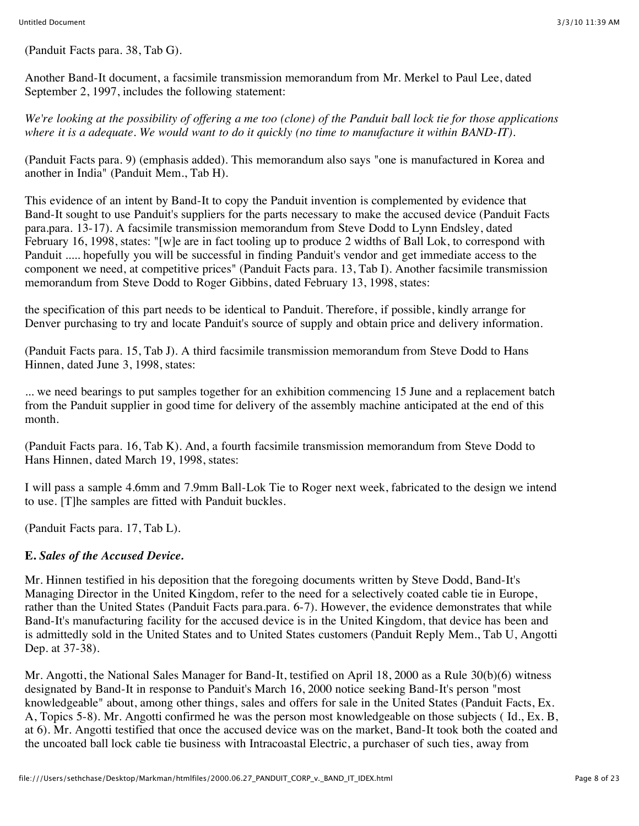(Panduit Facts para. 38, Tab G).

Another Band-It document, a facsimile transmission memorandum from Mr. Merkel to Paul Lee, dated September 2, 1997, includes the following statement:

*We're looking at the possibility of offering a me too (clone) of the Panduit ball lock tie for those applications where it is a adequate. We would want to do it quickly (no time to manufacture it within BAND-IT).*

(Panduit Facts para. 9) (emphasis added). This memorandum also says "one is manufactured in Korea and another in India" (Panduit Mem., Tab H).

This evidence of an intent by Band-It to copy the Panduit invention is complemented by evidence that Band-It sought to use Panduit's suppliers for the parts necessary to make the accused device (Panduit Facts para.para. 13-17). A facsimile transmission memorandum from Steve Dodd to Lynn Endsley, dated February 16, 1998, states: "[w]e are in fact tooling up to produce 2 widths of Ball Lok, to correspond with Panduit ..... hopefully you will be successful in finding Panduit's vendor and get immediate access to the component we need, at competitive prices" (Panduit Facts para. 13, Tab I). Another facsimile transmission memorandum from Steve Dodd to Roger Gibbins, dated February 13, 1998, states:

the specification of this part needs to be identical to Panduit. Therefore, if possible, kindly arrange for Denver purchasing to try and locate Panduit's source of supply and obtain price and delivery information.

(Panduit Facts para. 15, Tab J). A third facsimile transmission memorandum from Steve Dodd to Hans Hinnen, dated June 3, 1998, states:

... we need bearings to put samples together for an exhibition commencing 15 June and a replacement batch from the Panduit supplier in good time for delivery of the assembly machine anticipated at the end of this month.

(Panduit Facts para. 16, Tab K). And, a fourth facsimile transmission memorandum from Steve Dodd to Hans Hinnen, dated March 19, 1998, states:

I will pass a sample 4.6mm and 7.9mm Ball-Lok Tie to Roger next week, fabricated to the design we intend to use. [T]he samples are fitted with Panduit buckles.

(Panduit Facts para. 17, Tab L).

## **E.** *Sales of the Accused Device.*

Mr. Hinnen testified in his deposition that the foregoing documents written by Steve Dodd, Band-It's Managing Director in the United Kingdom, refer to the need for a selectively coated cable tie in Europe, rather than the United States (Panduit Facts para.para. 6-7). However, the evidence demonstrates that while Band-It's manufacturing facility for the accused device is in the United Kingdom, that device has been and is admittedly sold in the United States and to United States customers (Panduit Reply Mem., Tab U, Angotti Dep. at 37-38).

Mr. Angotti, the National Sales Manager for Band-It, testified on April 18, 2000 as a Rule 30(b)(6) witness designated by Band-It in response to Panduit's March 16, 2000 notice seeking Band-It's person "most knowledgeable" about, among other things, sales and offers for sale in the United States (Panduit Facts, Ex. A, Topics 5-8). Mr. Angotti confirmed he was the person most knowledgeable on those subjects ( Id., Ex. B, at 6). Mr. Angotti testified that once the accused device was on the market, Band-It took both the coated and the uncoated ball lock cable tie business with Intracoastal Electric, a purchaser of such ties, away from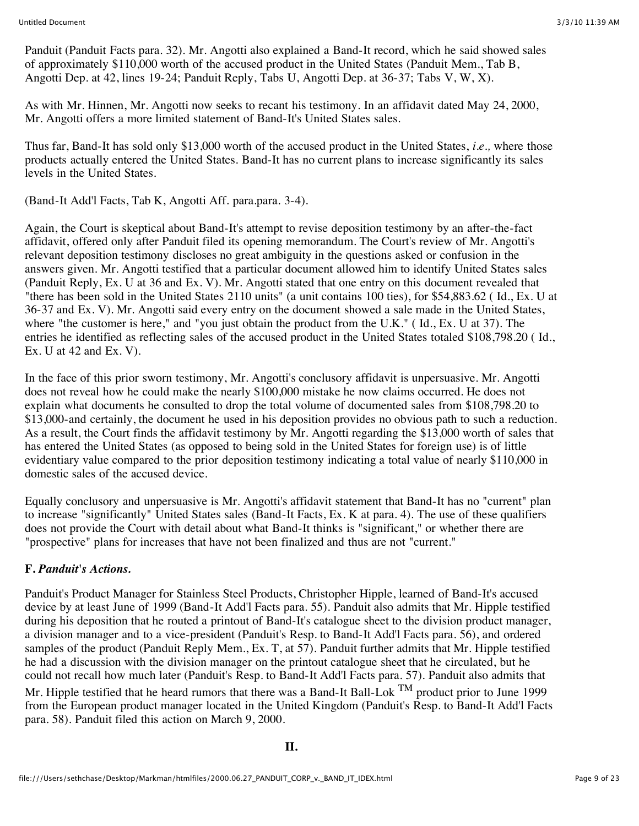Panduit (Panduit Facts para. 32). Mr. Angotti also explained a Band-It record, which he said showed sales of approximately \$110,000 worth of the accused product in the United States (Panduit Mem., Tab B, Angotti Dep. at 42, lines 19-24; Panduit Reply, Tabs U, Angotti Dep. at 36-37; Tabs V, W, X).

As with Mr. Hinnen, Mr. Angotti now seeks to recant his testimony. In an affidavit dated May 24, 2000, Mr. Angotti offers a more limited statement of Band-It's United States sales.

Thus far, Band-It has sold only \$13,000 worth of the accused product in the United States, *i.e.,* where those products actually entered the United States. Band-It has no current plans to increase significantly its sales levels in the United States.

(Band-It Add'l Facts, Tab K, Angotti Aff. para.para. 3-4).

Again, the Court is skeptical about Band-It's attempt to revise deposition testimony by an after-the-fact affidavit, offered only after Panduit filed its opening memorandum. The Court's review of Mr. Angotti's relevant deposition testimony discloses no great ambiguity in the questions asked or confusion in the answers given. Mr. Angotti testified that a particular document allowed him to identify United States sales (Panduit Reply, Ex. U at 36 and Ex. V). Mr. Angotti stated that one entry on this document revealed that "there has been sold in the United States 2110 units" (a unit contains 100 ties), for \$54,883.62 ( Id., Ex. U at 36-37 and Ex. V). Mr. Angotti said every entry on the document showed a sale made in the United States, where "the customer is here," and "you just obtain the product from the U.K." ( Id., Ex. U at 37). The entries he identified as reflecting sales of the accused product in the United States totaled \$108,798.20 ( Id., Ex. U at 42 and Ex. V).

In the face of this prior sworn testimony, Mr. Angotti's conclusory affidavit is unpersuasive. Mr. Angotti does not reveal how he could make the nearly \$100,000 mistake he now claims occurred. He does not explain what documents he consulted to drop the total volume of documented sales from \$108,798.20 to \$13,000-and certainly, the document he used in his deposition provides no obvious path to such a reduction. As a result, the Court finds the affidavit testimony by Mr. Angotti regarding the \$13,000 worth of sales that has entered the United States (as opposed to being sold in the United States for foreign use) is of little evidentiary value compared to the prior deposition testimony indicating a total value of nearly \$110,000 in domestic sales of the accused device.

Equally conclusory and unpersuasive is Mr. Angotti's affidavit statement that Band-It has no "current" plan to increase "significantly" United States sales (Band-It Facts, Ex. K at para. 4). The use of these qualifiers does not provide the Court with detail about what Band-It thinks is "significant," or whether there are "prospective" plans for increases that have not been finalized and thus are not "current."

## **F.** *Panduit's Actions.*

Panduit's Product Manager for Stainless Steel Products, Christopher Hipple, learned of Band-It's accused device by at least June of 1999 (Band-It Add'l Facts para. 55). Panduit also admits that Mr. Hipple testified during his deposition that he routed a printout of Band-It's catalogue sheet to the division product manager, a division manager and to a vice-president (Panduit's Resp. to Band-It Add'l Facts para. 56), and ordered samples of the product (Panduit Reply Mem., Ex. T, at 57). Panduit further admits that Mr. Hipple testified he had a discussion with the division manager on the printout catalogue sheet that he circulated, but he could not recall how much later (Panduit's Resp. to Band-It Add'l Facts para. 57). Panduit also admits that Mr. Hipple testified that he heard rumors that there was a Band-It Ball-Lok  $^{TM}$  product prior to June 1999 from the European product manager located in the United Kingdom (Panduit's Resp. to Band-It Add'l Facts para. 58). Panduit filed this action on March 9, 2000.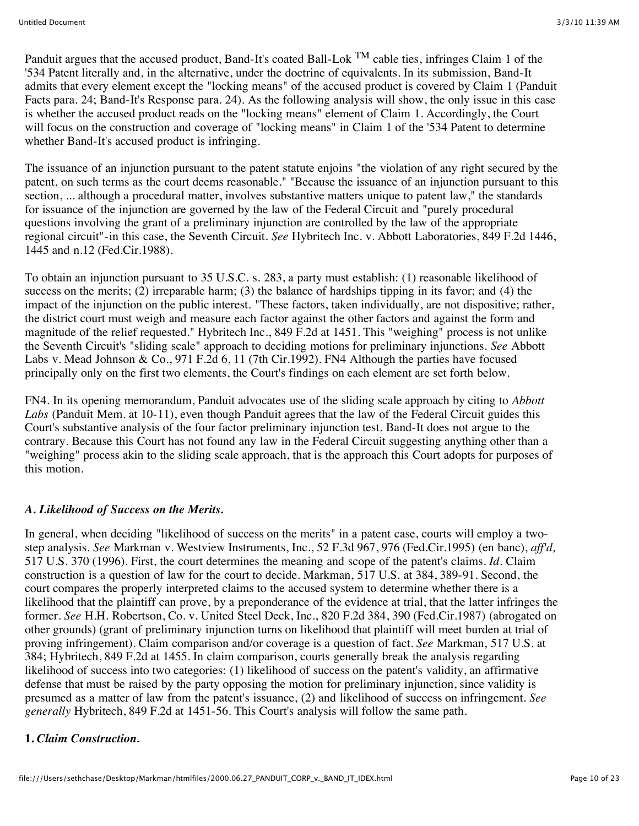Panduit argues that the accused product, Band-It's coated Ball-Lok <sup>TM</sup> cable ties, infringes Claim 1 of the '534 Patent literally and, in the alternative, under the doctrine of equivalents. In its submission, Band-It admits that every element except the "locking means" of the accused product is covered by Claim 1 (Panduit Facts para. 24; Band-It's Response para. 24). As the following analysis will show, the only issue in this case is whether the accused product reads on the "locking means" element of Claim 1. Accordingly, the Court will focus on the construction and coverage of "locking means" in Claim 1 of the '534 Patent to determine whether Band-It's accused product is infringing.

The issuance of an injunction pursuant to the patent statute enjoins "the violation of any right secured by the patent, on such terms as the court deems reasonable." "Because the issuance of an injunction pursuant to this section, ... although a procedural matter, involves substantive matters unique to patent law," the standards for issuance of the injunction are governed by the law of the Federal Circuit and "purely procedural questions involving the grant of a preliminary injunction are controlled by the law of the appropriate regional circuit"-in this case, the Seventh Circuit. *See* Hybritech Inc. v. Abbott Laboratories, 849 F.2d 1446, 1445 and n.12 (Fed.Cir.1988).

To obtain an injunction pursuant to 35 U.S.C. s. 283, a party must establish: (1) reasonable likelihood of success on the merits; (2) irreparable harm; (3) the balance of hardships tipping in its favor; and (4) the impact of the injunction on the public interest. "These factors, taken individually, are not dispositive; rather, the district court must weigh and measure each factor against the other factors and against the form and magnitude of the relief requested." Hybritech Inc., 849 F.2d at 1451. This "weighing" process is not unlike the Seventh Circuit's "sliding scale" approach to deciding motions for preliminary injunctions. *See* Abbott Labs v. Mead Johnson & Co., 971 F.2d 6, 11 (7th Cir.1992). FN4 Although the parties have focused principally only on the first two elements, the Court's findings on each element are set forth below.

FN4. In its opening memorandum, Panduit advocates use of the sliding scale approach by citing to *Abbott Labs* (Panduit Mem. at 10-11), even though Panduit agrees that the law of the Federal Circuit guides this Court's substantive analysis of the four factor preliminary injunction test. Band-It does not argue to the contrary. Because this Court has not found any law in the Federal Circuit suggesting anything other than a "weighing" process akin to the sliding scale approach, that is the approach this Court adopts for purposes of this motion.

## *A. Likelihood of Success on the Merits.*

In general, when deciding "likelihood of success on the merits" in a patent case, courts will employ a twostep analysis. *See* Markman v. Westview Instruments, Inc., 52 F.3d 967, 976 (Fed.Cir.1995) (en banc), *aff'd,* 517 U.S. 370 (1996). First, the court determines the meaning and scope of the patent's claims. *Id.* Claim construction is a question of law for the court to decide. Markman, 517 U.S. at 384, 389-91. Second, the court compares the properly interpreted claims to the accused system to determine whether there is a likelihood that the plaintiff can prove, by a preponderance of the evidence at trial, that the latter infringes the former. *See* H.H. Robertson, Co. v. United Steel Deck, Inc., 820 F.2d 384, 390 (Fed.Cir.1987) (abrogated on other grounds) (grant of preliminary injunction turns on likelihood that plaintiff will meet burden at trial of proving infringement). Claim comparison and/or coverage is a question of fact. *See* Markman, 517 U.S. at 384; Hybritech, 849 F.2d at 1455. In claim comparison, courts generally break the analysis regarding likelihood of success into two categories: (1) likelihood of success on the patent's validity, an affirmative defense that must be raised by the party opposing the motion for preliminary injunction, since validity is presumed as a matter of law from the patent's issuance, (2) and likelihood of success on infringement. *See generally* Hybritech, 849 F.2d at 1451-56. This Court's analysis will follow the same path.

## **1.** *Claim Construction.*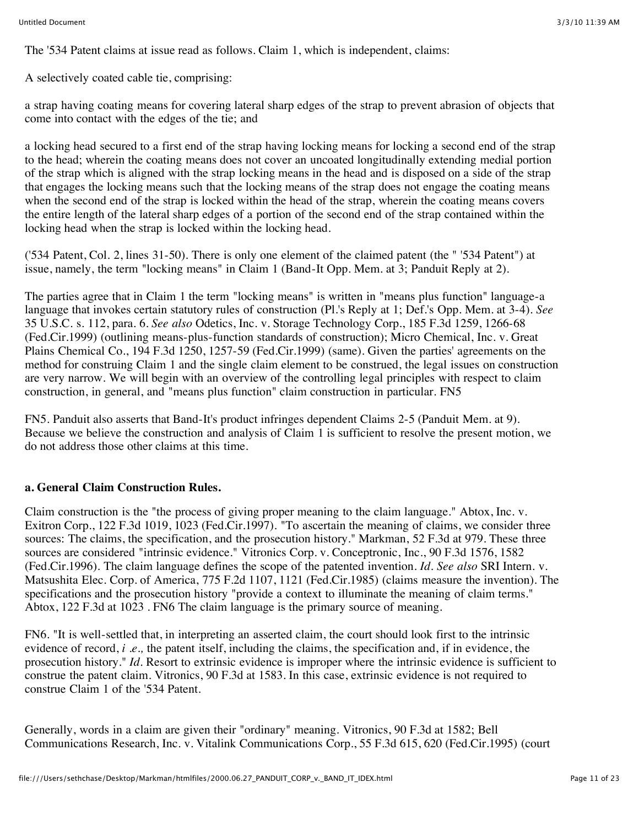The '534 Patent claims at issue read as follows. Claim 1, which is independent, claims:

A selectively coated cable tie, comprising:

a strap having coating means for covering lateral sharp edges of the strap to prevent abrasion of objects that come into contact with the edges of the tie; and

a locking head secured to a first end of the strap having locking means for locking a second end of the strap to the head; wherein the coating means does not cover an uncoated longitudinally extending medial portion of the strap which is aligned with the strap locking means in the head and is disposed on a side of the strap that engages the locking means such that the locking means of the strap does not engage the coating means when the second end of the strap is locked within the head of the strap, wherein the coating means covers the entire length of the lateral sharp edges of a portion of the second end of the strap contained within the locking head when the strap is locked within the locking head.

('534 Patent, Col. 2, lines 31-50). There is only one element of the claimed patent (the " '534 Patent") at issue, namely, the term "locking means" in Claim 1 (Band-It Opp. Mem. at 3; Panduit Reply at 2).

The parties agree that in Claim 1 the term "locking means" is written in "means plus function" language-a language that invokes certain statutory rules of construction (Pl.'s Reply at 1; Def.'s Opp. Mem. at 3-4). *See* 35 U.S.C. s. 112, para. 6. *See also* Odetics, Inc. v. Storage Technology Corp., 185 F.3d 1259, 1266-68 (Fed.Cir.1999) (outlining means-plus-function standards of construction); Micro Chemical, Inc. v. Great Plains Chemical Co., 194 F.3d 1250, 1257-59 (Fed.Cir.1999) (same). Given the parties' agreements on the method for construing Claim 1 and the single claim element to be construed, the legal issues on construction are very narrow. We will begin with an overview of the controlling legal principles with respect to claim construction, in general, and "means plus function" claim construction in particular. FN5

FN5. Panduit also asserts that Band-It's product infringes dependent Claims 2-5 (Panduit Mem. at 9). Because we believe the construction and analysis of Claim 1 is sufficient to resolve the present motion, we do not address those other claims at this time.

## **a. General Claim Construction Rules.**

Claim construction is the "the process of giving proper meaning to the claim language." Abtox, Inc. v. Exitron Corp., 122 F.3d 1019, 1023 (Fed.Cir.1997). "To ascertain the meaning of claims, we consider three sources: The claims, the specification, and the prosecution history." Markman, 52 F.3d at 979. These three sources are considered "intrinsic evidence." Vitronics Corp. v. Conceptronic, Inc., 90 F.3d 1576, 1582 (Fed.Cir.1996). The claim language defines the scope of the patented invention. *Id. See also* SRI Intern. v. Matsushita Elec. Corp. of America, 775 F.2d 1107, 1121 (Fed.Cir.1985) (claims measure the invention). The specifications and the prosecution history "provide a context to illuminate the meaning of claim terms." Abtox, 122 F.3d at 1023 . FN6 The claim language is the primary source of meaning.

FN6. "It is well-settled that, in interpreting an asserted claim, the court should look first to the intrinsic evidence of record, *i.e.*, the patent itself, including the claims, the specification and, if in evidence, the prosecution history." *Id.* Resort to extrinsic evidence is improper where the intrinsic evidence is sufficient to construe the patent claim. Vitronics, 90 F.3d at 1583. In this case, extrinsic evidence is not required to construe Claim 1 of the '534 Patent.

Generally, words in a claim are given their "ordinary" meaning. Vitronics, 90 F.3d at 1582; Bell Communications Research, Inc. v. Vitalink Communications Corp., 55 F.3d 615, 620 (Fed.Cir.1995) (court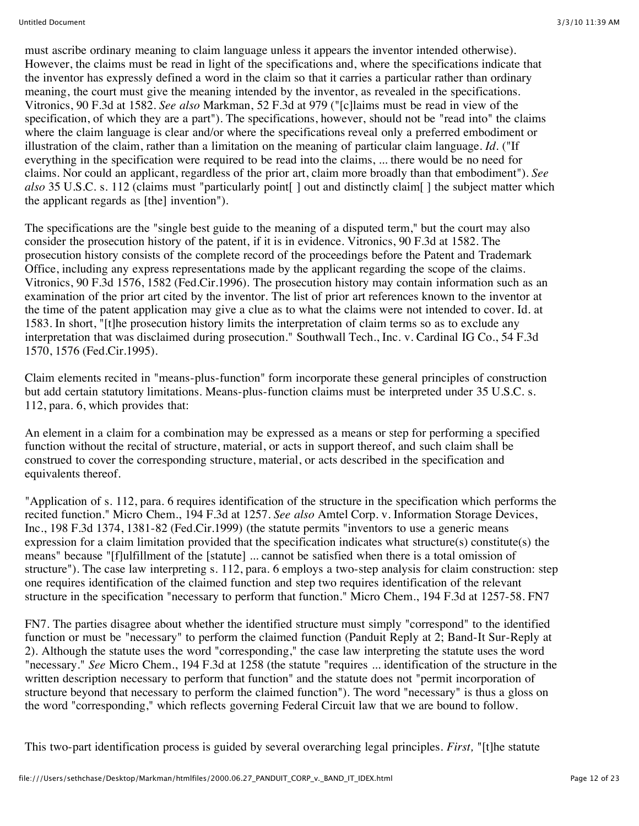must ascribe ordinary meaning to claim language unless it appears the inventor intended otherwise). However, the claims must be read in light of the specifications and, where the specifications indicate that the inventor has expressly defined a word in the claim so that it carries a particular rather than ordinary meaning, the court must give the meaning intended by the inventor, as revealed in the specifications. Vitronics, 90 F.3d at 1582. *See also* Markman, 52 F.3d at 979 ("[c]laims must be read in view of the specification, of which they are a part"). The specifications, however, should not be "read into" the claims where the claim language is clear and/or where the specifications reveal only a preferred embodiment or illustration of the claim, rather than a limitation on the meaning of particular claim language. *Id.* ("If everything in the specification were required to be read into the claims, ... there would be no need for claims. Nor could an applicant, regardless of the prior art, claim more broadly than that embodiment"). *See also* 35 U.S.C. s. 112 (claims must "particularly point[ ] out and distinctly claim[ ] the subject matter which the applicant regards as [the] invention").

The specifications are the "single best guide to the meaning of a disputed term," but the court may also consider the prosecution history of the patent, if it is in evidence. Vitronics, 90 F.3d at 1582. The prosecution history consists of the complete record of the proceedings before the Patent and Trademark Office, including any express representations made by the applicant regarding the scope of the claims. Vitronics, 90 F.3d 1576, 1582 (Fed.Cir.1996). The prosecution history may contain information such as an examination of the prior art cited by the inventor. The list of prior art references known to the inventor at the time of the patent application may give a clue as to what the claims were not intended to cover. Id. at 1583. In short, "[t]he prosecution history limits the interpretation of claim terms so as to exclude any interpretation that was disclaimed during prosecution." Southwall Tech., Inc. v. Cardinal IG Co., 54 F.3d 1570, 1576 (Fed.Cir.1995).

Claim elements recited in "means-plus-function" form incorporate these general principles of construction but add certain statutory limitations. Means-plus-function claims must be interpreted under 35 U.S.C. s. 112, para. 6, which provides that:

An element in a claim for a combination may be expressed as a means or step for performing a specified function without the recital of structure, material, or acts in support thereof, and such claim shall be construed to cover the corresponding structure, material, or acts described in the specification and equivalents thereof.

"Application of s. 112, para. 6 requires identification of the structure in the specification which performs the recited function." Micro Chem., 194 F.3d at 1257. *See also* Amtel Corp. v. Information Storage Devices, Inc., 198 F.3d 1374, 1381-82 (Fed.Cir.1999) (the statute permits "inventors to use a generic means expression for a claim limitation provided that the specification indicates what structure(s) constitute(s) the means" because "[f]ulfillment of the [statute] ... cannot be satisfied when there is a total omission of structure"). The case law interpreting s. 112, para. 6 employs a two-step analysis for claim construction: step one requires identification of the claimed function and step two requires identification of the relevant structure in the specification "necessary to perform that function." Micro Chem., 194 F.3d at 1257-58. FN7

FN7. The parties disagree about whether the identified structure must simply "correspond" to the identified function or must be "necessary" to perform the claimed function (Panduit Reply at 2; Band-It Sur-Reply at 2). Although the statute uses the word "corresponding," the case law interpreting the statute uses the word "necessary." *See* Micro Chem., 194 F.3d at 1258 (the statute "requires ... identification of the structure in the written description necessary to perform that function" and the statute does not "permit incorporation of structure beyond that necessary to perform the claimed function"). The word "necessary" is thus a gloss on the word "corresponding," which reflects governing Federal Circuit law that we are bound to follow.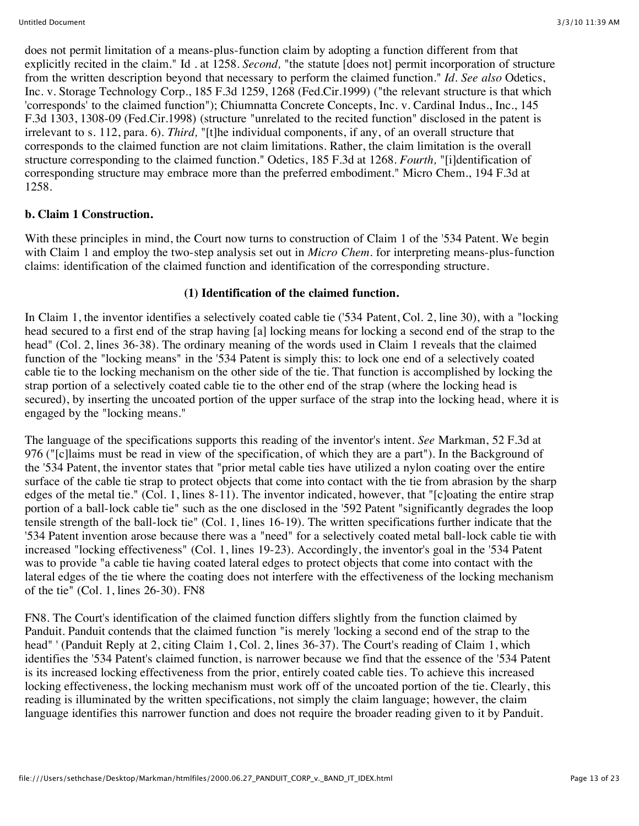does not permit limitation of a means-plus-function claim by adopting a function different from that explicitly recited in the claim." Id . at 1258. *Second,* "the statute [does not] permit incorporation of structure from the written description beyond that necessary to perform the claimed function." *Id. See also* Odetics, Inc. v. Storage Technology Corp., 185 F.3d 1259, 1268 (Fed.Cir.1999) ("the relevant structure is that which 'corresponds' to the claimed function"); Chiumnatta Concrete Concepts, Inc. v. Cardinal Indus., Inc., 145 F.3d 1303, 1308-09 (Fed.Cir.1998) (structure "unrelated to the recited function" disclosed in the patent is irrelevant to s. 112, para. 6). *Third,* "[t]he individual components, if any, of an overall structure that corresponds to the claimed function are not claim limitations. Rather, the claim limitation is the overall structure corresponding to the claimed function." Odetics, 185 F.3d at 1268. *Fourth,* "[i]dentification of corresponding structure may embrace more than the preferred embodiment." Micro Chem., 194 F.3d at 1258.

### **b. Claim 1 Construction.**

With these principles in mind, the Court now turns to construction of Claim 1 of the '534 Patent. We begin with Claim 1 and employ the two-step analysis set out in *Micro Chem*. for interpreting means-plus-function claims: identification of the claimed function and identification of the corresponding structure.

### **(1) Identification of the claimed function.**

In Claim 1, the inventor identifies a selectively coated cable tie ('534 Patent, Col. 2, line 30), with a "locking head secured to a first end of the strap having [a] locking means for locking a second end of the strap to the head" (Col. 2, lines 36-38). The ordinary meaning of the words used in Claim 1 reveals that the claimed function of the "locking means" in the '534 Patent is simply this: to lock one end of a selectively coated cable tie to the locking mechanism on the other side of the tie. That function is accomplished by locking the strap portion of a selectively coated cable tie to the other end of the strap (where the locking head is secured), by inserting the uncoated portion of the upper surface of the strap into the locking head, where it is engaged by the "locking means."

The language of the specifications supports this reading of the inventor's intent. *See* Markman, 52 F.3d at 976 ("[c]laims must be read in view of the specification, of which they are a part"). In the Background of the '534 Patent, the inventor states that "prior metal cable ties have utilized a nylon coating over the entire surface of the cable tie strap to protect objects that come into contact with the tie from abrasion by the sharp edges of the metal tie." (Col. 1, lines 8-11). The inventor indicated, however, that "[c]oating the entire strap portion of a ball-lock cable tie" such as the one disclosed in the '592 Patent "significantly degrades the loop tensile strength of the ball-lock tie" (Col. 1, lines 16-19). The written specifications further indicate that the '534 Patent invention arose because there was a "need" for a selectively coated metal ball-lock cable tie with increased "locking effectiveness" (Col. 1, lines 19-23). Accordingly, the inventor's goal in the '534 Patent was to provide "a cable tie having coated lateral edges to protect objects that come into contact with the lateral edges of the tie where the coating does not interfere with the effectiveness of the locking mechanism of the tie" (Col. 1, lines 26-30). FN8

FN8. The Court's identification of the claimed function differs slightly from the function claimed by Panduit. Panduit contends that the claimed function "is merely 'locking a second end of the strap to the head" ' (Panduit Reply at 2, citing Claim 1, Col. 2, lines 36-37). The Court's reading of Claim 1, which identifies the '534 Patent's claimed function, is narrower because we find that the essence of the '534 Patent is its increased locking effectiveness from the prior, entirely coated cable ties. To achieve this increased locking effectiveness, the locking mechanism must work off of the uncoated portion of the tie. Clearly, this reading is illuminated by the written specifications, not simply the claim language; however, the claim language identifies this narrower function and does not require the broader reading given to it by Panduit.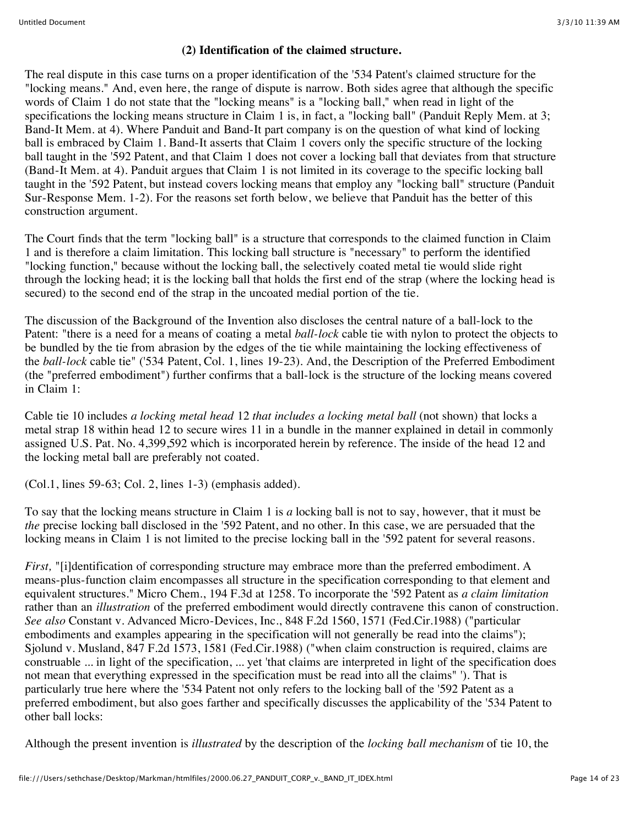#### **(2) Identification of the claimed structure.**

The real dispute in this case turns on a proper identification of the '534 Patent's claimed structure for the "locking means." And, even here, the range of dispute is narrow. Both sides agree that although the specific words of Claim 1 do not state that the "locking means" is a "locking ball," when read in light of the specifications the locking means structure in Claim 1 is, in fact, a "locking ball" (Panduit Reply Mem. at 3; Band-It Mem. at 4). Where Panduit and Band-It part company is on the question of what kind of locking ball is embraced by Claim 1. Band-It asserts that Claim 1 covers only the specific structure of the locking ball taught in the '592 Patent, and that Claim 1 does not cover a locking ball that deviates from that structure (Band-It Mem. at 4). Panduit argues that Claim 1 is not limited in its coverage to the specific locking ball taught in the '592 Patent, but instead covers locking means that employ any "locking ball" structure (Panduit Sur-Response Mem. 1-2). For the reasons set forth below, we believe that Panduit has the better of this construction argument.

The Court finds that the term "locking ball" is a structure that corresponds to the claimed function in Claim 1 and is therefore a claim limitation. This locking ball structure is "necessary" to perform the identified "locking function," because without the locking ball, the selectively coated metal tie would slide right through the locking head; it is the locking ball that holds the first end of the strap (where the locking head is secured) to the second end of the strap in the uncoated medial portion of the tie.

The discussion of the Background of the Invention also discloses the central nature of a ball-lock to the Patent: "there is a need for a means of coating a metal *ball-lock* cable tie with nylon to protect the objects to be bundled by the tie from abrasion by the edges of the tie while maintaining the locking effectiveness of the *ball-lock* cable tie" ('534 Patent, Col. 1, lines 19-23). And, the Description of the Preferred Embodiment (the "preferred embodiment") further confirms that a ball-lock is the structure of the locking means covered in Claim 1:

Cable tie 10 includes *a locking metal head* 12 *that includes a locking metal ball* (not shown) that locks a metal strap 18 within head 12 to secure wires 11 in a bundle in the manner explained in detail in commonly assigned U.S. Pat. No. 4,399,592 which is incorporated herein by reference. The inside of the head 12 and the locking metal ball are preferably not coated.

(Col.1, lines 59-63; Col. 2, lines 1-3) (emphasis added).

To say that the locking means structure in Claim 1 is *a* locking ball is not to say, however, that it must be *the* precise locking ball disclosed in the '592 Patent, and no other. In this case, we are persuaded that the locking means in Claim 1 is not limited to the precise locking ball in the '592 patent for several reasons.

*First,* "[i]dentification of corresponding structure may embrace more than the preferred embodiment. A means-plus-function claim encompasses all structure in the specification corresponding to that element and equivalent structures." Micro Chem., 194 F.3d at 1258. To incorporate the '592 Patent as *a claim limitation* rather than an *illustration* of the preferred embodiment would directly contravene this canon of construction. *See also* Constant v. Advanced Micro-Devices, Inc., 848 F.2d 1560, 1571 (Fed.Cir.1988) ("particular embodiments and examples appearing in the specification will not generally be read into the claims"); Sjolund v. Musland, 847 F.2d 1573, 1581 (Fed.Cir.1988) ("when claim construction is required, claims are construable ... in light of the specification, ... yet 'that claims are interpreted in light of the specification does not mean that everything expressed in the specification must be read into all the claims" '). That is particularly true here where the '534 Patent not only refers to the locking ball of the '592 Patent as a preferred embodiment, but also goes farther and specifically discusses the applicability of the '534 Patent to other ball locks:

Although the present invention is *illustrated* by the description of the *locking ball mechanism* of tie 10, the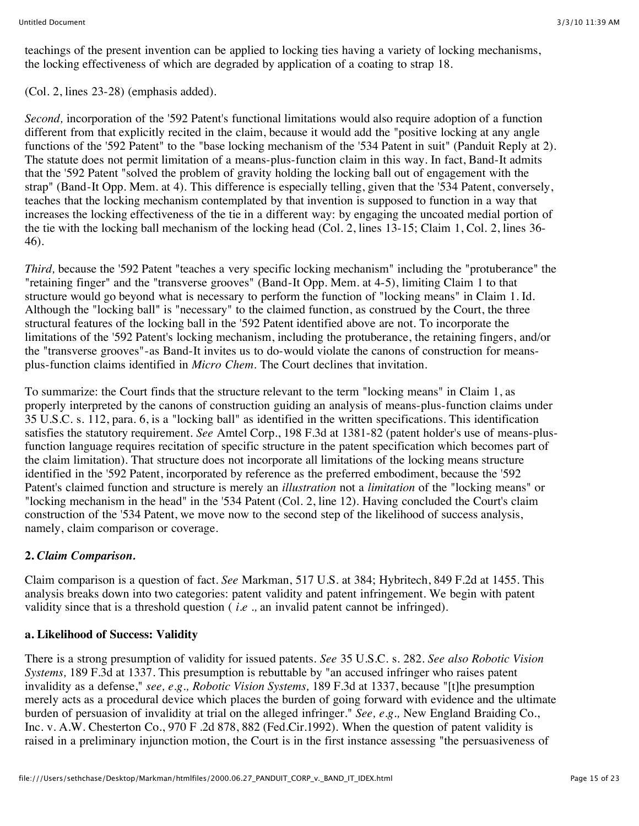teachings of the present invention can be applied to locking ties having a variety of locking mechanisms, the locking effectiveness of which are degraded by application of a coating to strap 18.

(Col. 2, lines 23-28) (emphasis added).

*Second,* incorporation of the '592 Patent's functional limitations would also require adoption of a function different from that explicitly recited in the claim, because it would add the "positive locking at any angle functions of the '592 Patent" to the "base locking mechanism of the '534 Patent in suit" (Panduit Reply at 2). The statute does not permit limitation of a means-plus-function claim in this way. In fact, Band-It admits that the '592 Patent "solved the problem of gravity holding the locking ball out of engagement with the strap" (Band-It Opp. Mem. at 4). This difference is especially telling, given that the '534 Patent, conversely, teaches that the locking mechanism contemplated by that invention is supposed to function in a way that increases the locking effectiveness of the tie in a different way: by engaging the uncoated medial portion of the tie with the locking ball mechanism of the locking head (Col. 2, lines 13-15; Claim 1, Col. 2, lines 36- 46).

*Third,* because the '592 Patent "teaches a very specific locking mechanism" including the "protuberance" the "retaining finger" and the "transverse grooves" (Band-It Opp. Mem. at 4-5), limiting Claim 1 to that structure would go beyond what is necessary to perform the function of "locking means" in Claim 1. Id. Although the "locking ball" is "necessary" to the claimed function, as construed by the Court, the three structural features of the locking ball in the '592 Patent identified above are not. To incorporate the limitations of the '592 Patent's locking mechanism, including the protuberance, the retaining fingers, and/or the "transverse grooves"-as Band-It invites us to do-would violate the canons of construction for meansplus-function claims identified in *Micro Chem.* The Court declines that invitation.

To summarize: the Court finds that the structure relevant to the term "locking means" in Claim 1, as properly interpreted by the canons of construction guiding an analysis of means-plus-function claims under 35 U.S.C. s. 112, para. 6, is a "locking ball" as identified in the written specifications. This identification satisfies the statutory requirement. *See* Amtel Corp., 198 F.3d at 1381-82 (patent holder's use of means-plusfunction language requires recitation of specific structure in the patent specification which becomes part of the claim limitation). That structure does not incorporate all limitations of the locking means structure identified in the '592 Patent, incorporated by reference as the preferred embodiment, because the '592 Patent's claimed function and structure is merely an *illustration* not a *limitation* of the "locking means" or "locking mechanism in the head" in the '534 Patent (Col. 2, line 12). Having concluded the Court's claim construction of the '534 Patent, we move now to the second step of the likelihood of success analysis, namely, claim comparison or coverage.

## **2.** *Claim Comparison.*

Claim comparison is a question of fact. *See* Markman, 517 U.S. at 384; Hybritech, 849 F.2d at 1455. This analysis breaks down into two categories: patent validity and patent infringement. We begin with patent validity since that is a threshold question ( *i.e .,* an invalid patent cannot be infringed).

### **a. Likelihood of Success: Validity**

There is a strong presumption of validity for issued patents. *See* 35 U.S.C. s. 282. *See also Robotic Vision Systems,* 189 F.3d at 1337. This presumption is rebuttable by "an accused infringer who raises patent invalidity as a defense," *see, e.g., Robotic Vision Systems,* 189 F.3d at 1337, because "[t]he presumption merely acts as a procedural device which places the burden of going forward with evidence and the ultimate burden of persuasion of invalidity at trial on the alleged infringer." *See, e.g.,* New England Braiding Co., Inc. v. A.W. Chesterton Co., 970 F .2d 878, 882 (Fed.Cir.1992). When the question of patent validity is raised in a preliminary injunction motion, the Court is in the first instance assessing "the persuasiveness of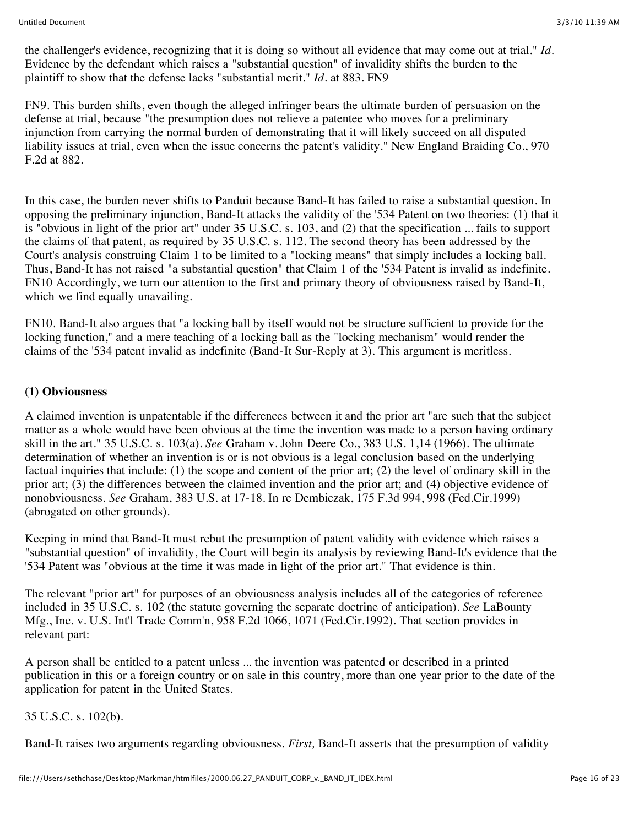the challenger's evidence, recognizing that it is doing so without all evidence that may come out at trial." *Id.* Evidence by the defendant which raises a "substantial question" of invalidity shifts the burden to the plaintiff to show that the defense lacks "substantial merit." *Id.* at 883. FN9

FN9. This burden shifts, even though the alleged infringer bears the ultimate burden of persuasion on the defense at trial, because "the presumption does not relieve a patentee who moves for a preliminary injunction from carrying the normal burden of demonstrating that it will likely succeed on all disputed liability issues at trial, even when the issue concerns the patent's validity." New England Braiding Co., 970 F.2d at 882.

In this case, the burden never shifts to Panduit because Band-It has failed to raise a substantial question. In opposing the preliminary injunction, Band-It attacks the validity of the '534 Patent on two theories: (1) that it is "obvious in light of the prior art" under 35 U.S.C. s. 103, and (2) that the specification ... fails to support the claims of that patent, as required by 35 U.S.C. s. 112. The second theory has been addressed by the Court's analysis construing Claim 1 to be limited to a "locking means" that simply includes a locking ball. Thus, Band-It has not raised "a substantial question" that Claim 1 of the '534 Patent is invalid as indefinite. FN10 Accordingly, we turn our attention to the first and primary theory of obviousness raised by Band-It, which we find equally unavailing.

FN10. Band-It also argues that "a locking ball by itself would not be structure sufficient to provide for the locking function," and a mere teaching of a locking ball as the "locking mechanism" would render the claims of the '534 patent invalid as indefinite (Band-It Sur-Reply at 3). This argument is meritless.

#### **(1) Obviousness**

A claimed invention is unpatentable if the differences between it and the prior art "are such that the subject matter as a whole would have been obvious at the time the invention was made to a person having ordinary skill in the art." 35 U.S.C. s. 103(a). *See* Graham v. John Deere Co., 383 U.S. 1,14 (1966). The ultimate determination of whether an invention is or is not obvious is a legal conclusion based on the underlying factual inquiries that include: (1) the scope and content of the prior art; (2) the level of ordinary skill in the prior art; (3) the differences between the claimed invention and the prior art; and (4) objective evidence of nonobviousness. *See* Graham, 383 U.S. at 17-18. In re Dembiczak, 175 F.3d 994, 998 (Fed.Cir.1999) (abrogated on other grounds).

Keeping in mind that Band-It must rebut the presumption of patent validity with evidence which raises a "substantial question" of invalidity, the Court will begin its analysis by reviewing Band-It's evidence that the '534 Patent was "obvious at the time it was made in light of the prior art." That evidence is thin.

The relevant "prior art" for purposes of an obviousness analysis includes all of the categories of reference included in 35 U.S.C. s. 102 (the statute governing the separate doctrine of anticipation). *See* LaBounty Mfg., Inc. v. U.S. Int'l Trade Comm'n, 958 F.2d 1066, 1071 (Fed.Cir.1992). That section provides in relevant part:

A person shall be entitled to a patent unless ... the invention was patented or described in a printed publication in this or a foreign country or on sale in this country, more than one year prior to the date of the application for patent in the United States.

35 U.S.C. s. 102(b).

Band-It raises two arguments regarding obviousness. *First,* Band-It asserts that the presumption of validity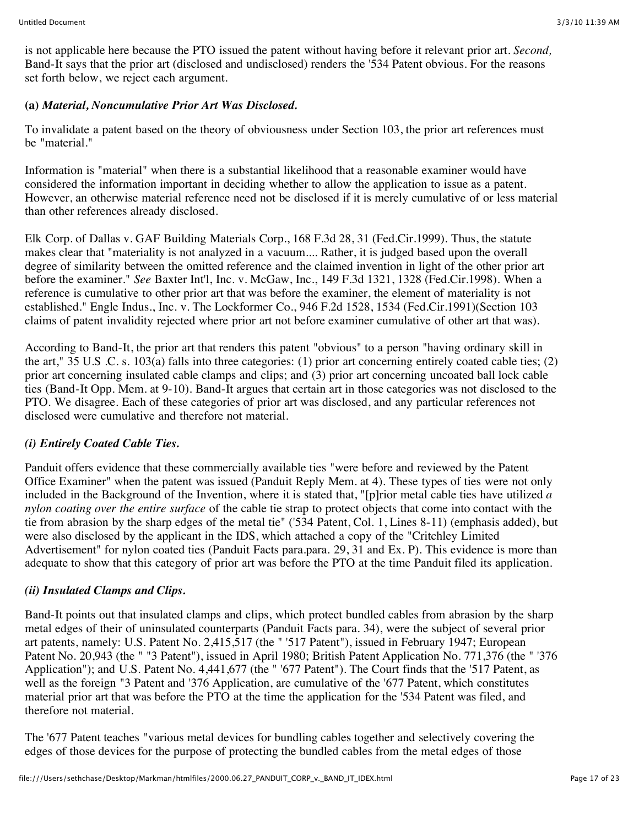is not applicable here because the PTO issued the patent without having before it relevant prior art. *Second,* Band-It says that the prior art (disclosed and undisclosed) renders the '534 Patent obvious. For the reasons set forth below, we reject each argument.

### **(a)** *Material, Noncumulative Prior Art Was Disclosed.*

To invalidate a patent based on the theory of obviousness under Section 103, the prior art references must be "material."

Information is "material" when there is a substantial likelihood that a reasonable examiner would have considered the information important in deciding whether to allow the application to issue as a patent. However, an otherwise material reference need not be disclosed if it is merely cumulative of or less material than other references already disclosed.

Elk Corp. of Dallas v. GAF Building Materials Corp., 168 F.3d 28, 31 (Fed.Cir.1999). Thus, the statute makes clear that "materiality is not analyzed in a vacuum.... Rather, it is judged based upon the overall degree of similarity between the omitted reference and the claimed invention in light of the other prior art before the examiner." *See* Baxter Int'l, Inc. v. McGaw, Inc., 149 F.3d 1321, 1328 (Fed.Cir.1998). When a reference is cumulative to other prior art that was before the examiner, the element of materiality is not established." Engle Indus., Inc. v. The Lockformer Co., 946 F.2d 1528, 1534 (Fed.Cir.1991)(Section 103 claims of patent invalidity rejected where prior art not before examiner cumulative of other art that was).

According to Band-It, the prior art that renders this patent "obvious" to a person "having ordinary skill in the art," 35 U.S .C. s. 103(a) falls into three categories: (1) prior art concerning entirely coated cable ties; (2) prior art concerning insulated cable clamps and clips; and (3) prior art concerning uncoated ball lock cable ties (Band-It Opp. Mem. at 9-10). Band-It argues that certain art in those categories was not disclosed to the PTO. We disagree. Each of these categories of prior art was disclosed, and any particular references not disclosed were cumulative and therefore not material.

## *(i) Entirely Coated Cable Ties.*

Panduit offers evidence that these commercially available ties "were before and reviewed by the Patent Office Examiner" when the patent was issued (Panduit Reply Mem. at 4). These types of ties were not only included in the Background of the Invention, where it is stated that, "[p]rior metal cable ties have utilized *a nylon coating over the entire surface* of the cable tie strap to protect objects that come into contact with the tie from abrasion by the sharp edges of the metal tie" ('534 Patent, Col. 1, Lines 8-11) (emphasis added), but were also disclosed by the applicant in the IDS, which attached a copy of the "Critchley Limited Advertisement" for nylon coated ties (Panduit Facts para.para. 29, 31 and Ex. P). This evidence is more than adequate to show that this category of prior art was before the PTO at the time Panduit filed its application.

## *(ii) Insulated Clamps and Clips.*

Band-It points out that insulated clamps and clips, which protect bundled cables from abrasion by the sharp metal edges of their of uninsulated counterparts (Panduit Facts para. 34), were the subject of several prior art patents, namely: U.S. Patent No. 2,415,517 (the " '517 Patent"), issued in February 1947; European Patent No. 20,943 (the " "3 Patent"), issued in April 1980; British Patent Application No. 771,376 (the " '376 Application"); and U.S. Patent No. 4,441,677 (the " '677 Patent"). The Court finds that the '517 Patent, as well as the foreign "3 Patent and '376 Application, are cumulative of the '677 Patent, which constitutes material prior art that was before the PTO at the time the application for the '534 Patent was filed, and therefore not material.

The '677 Patent teaches "various metal devices for bundling cables together and selectively covering the edges of those devices for the purpose of protecting the bundled cables from the metal edges of those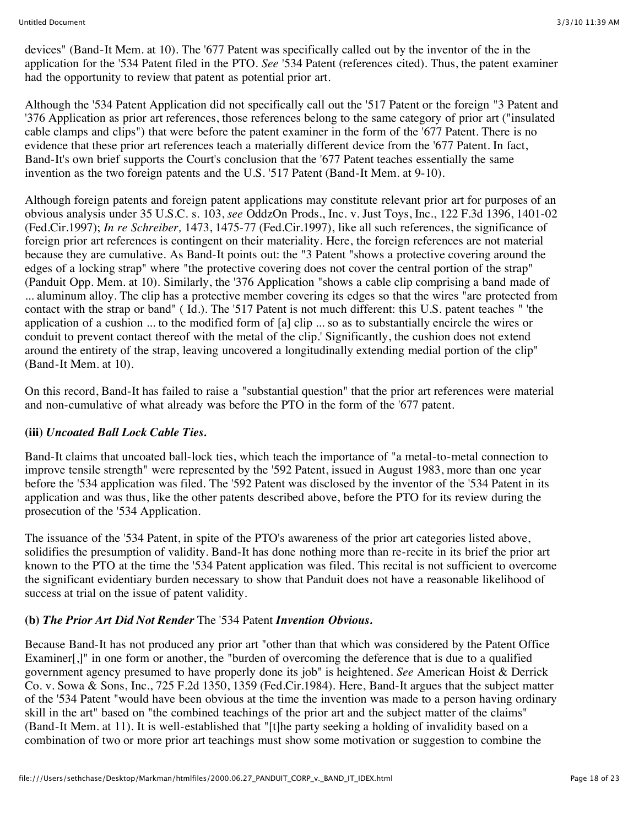devices" (Band-It Mem. at 10). The '677 Patent was specifically called out by the inventor of the in the application for the '534 Patent filed in the PTO. *See* '534 Patent (references cited). Thus, the patent examiner had the opportunity to review that patent as potential prior art.

Although the '534 Patent Application did not specifically call out the '517 Patent or the foreign "3 Patent and '376 Application as prior art references, those references belong to the same category of prior art ("insulated cable clamps and clips") that were before the patent examiner in the form of the '677 Patent. There is no evidence that these prior art references teach a materially different device from the '677 Patent. In fact, Band-It's own brief supports the Court's conclusion that the '677 Patent teaches essentially the same invention as the two foreign patents and the U.S. '517 Patent (Band-It Mem. at 9-10).

Although foreign patents and foreign patent applications may constitute relevant prior art for purposes of an obvious analysis under 35 U.S.C. s. 103, *see* OddzOn Prods., Inc. v. Just Toys, Inc., 122 F.3d 1396, 1401-02 (Fed.Cir.1997); *In re Schreiber,* 1473, 1475-77 (Fed.Cir.1997), like all such references, the significance of foreign prior art references is contingent on their materiality. Here, the foreign references are not material because they are cumulative. As Band-It points out: the "3 Patent "shows a protective covering around the edges of a locking strap" where "the protective covering does not cover the central portion of the strap" (Panduit Opp. Mem. at 10). Similarly, the '376 Application "shows a cable clip comprising a band made of ... aluminum alloy. The clip has a protective member covering its edges so that the wires "are protected from contact with the strap or band" ( Id.). The '517 Patent is not much different: this U.S. patent teaches " 'the application of a cushion ... to the modified form of [a] clip ... so as to substantially encircle the wires or conduit to prevent contact thereof with the metal of the clip.' Significantly, the cushion does not extend around the entirety of the strap, leaving uncovered a longitudinally extending medial portion of the clip" (Band-It Mem. at 10).

On this record, Band-It has failed to raise a "substantial question" that the prior art references were material and non-cumulative of what already was before the PTO in the form of the '677 patent.

### **(iii)** *Uncoated Ball Lock Cable Ties.*

Band-It claims that uncoated ball-lock ties, which teach the importance of "a metal-to-metal connection to improve tensile strength" were represented by the '592 Patent, issued in August 1983, more than one year before the '534 application was filed. The '592 Patent was disclosed by the inventor of the '534 Patent in its application and was thus, like the other patents described above, before the PTO for its review during the prosecution of the '534 Application.

The issuance of the '534 Patent, in spite of the PTO's awareness of the prior art categories listed above, solidifies the presumption of validity. Band-It has done nothing more than re-recite in its brief the prior art known to the PTO at the time the '534 Patent application was filed. This recital is not sufficient to overcome the significant evidentiary burden necessary to show that Panduit does not have a reasonable likelihood of success at trial on the issue of patent validity.

### **(b)** *The Prior Art Did Not Render* The '534 Patent *Invention Obvious.*

Because Band-It has not produced any prior art "other than that which was considered by the Patent Office Examiner[.]" in one form or another, the "burden of overcoming the deference that is due to a qualified government agency presumed to have properly done its job" is heightened. *See* American Hoist & Derrick Co. v. Sowa & Sons, Inc., 725 F.2d 1350, 1359 (Fed.Cir.1984). Here, Band-It argues that the subject matter of the '534 Patent "would have been obvious at the time the invention was made to a person having ordinary skill in the art" based on "the combined teachings of the prior art and the subject matter of the claims" (Band-It Mem. at 11). It is well-established that "[t]he party seeking a holding of invalidity based on a combination of two or more prior art teachings must show some motivation or suggestion to combine the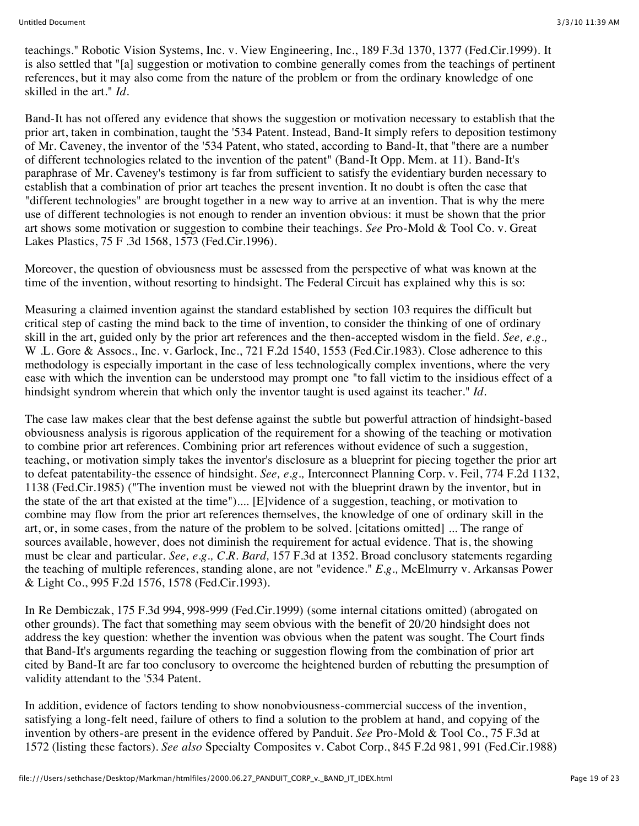teachings." Robotic Vision Systems, Inc. v. View Engineering, Inc., 189 F.3d 1370, 1377 (Fed.Cir.1999). It is also settled that "[a] suggestion or motivation to combine generally comes from the teachings of pertinent references, but it may also come from the nature of the problem or from the ordinary knowledge of one skilled in the art." *Id.*

Band-It has not offered any evidence that shows the suggestion or motivation necessary to establish that the prior art, taken in combination, taught the '534 Patent. Instead, Band-It simply refers to deposition testimony of Mr. Caveney, the inventor of the '534 Patent, who stated, according to Band-It, that "there are a number of different technologies related to the invention of the patent" (Band-It Opp. Mem. at 11). Band-It's paraphrase of Mr. Caveney's testimony is far from sufficient to satisfy the evidentiary burden necessary to establish that a combination of prior art teaches the present invention. It no doubt is often the case that "different technologies" are brought together in a new way to arrive at an invention. That is why the mere use of different technologies is not enough to render an invention obvious: it must be shown that the prior art shows some motivation or suggestion to combine their teachings. *See* Pro-Mold & Tool Co. v. Great Lakes Plastics, 75 F .3d 1568, 1573 (Fed.Cir.1996).

Moreover, the question of obviousness must be assessed from the perspective of what was known at the time of the invention, without resorting to hindsight. The Federal Circuit has explained why this is so:

Measuring a claimed invention against the standard established by section 103 requires the difficult but critical step of casting the mind back to the time of invention, to consider the thinking of one of ordinary skill in the art, guided only by the prior art references and the then-accepted wisdom in the field. *See, e.g.,* W .L. Gore & Assocs., Inc. v. Garlock, Inc., 721 F.2d 1540, 1553 (Fed.Cir.1983). Close adherence to this methodology is especially important in the case of less technologically complex inventions, where the very ease with which the invention can be understood may prompt one "to fall victim to the insidious effect of a hindsight syndrom wherein that which only the inventor taught is used against its teacher." *Id.*

The case law makes clear that the best defense against the subtle but powerful attraction of hindsight-based obviousness analysis is rigorous application of the requirement for a showing of the teaching or motivation to combine prior art references. Combining prior art references without evidence of such a suggestion, teaching, or motivation simply takes the inventor's disclosure as a blueprint for piecing together the prior art to defeat patentability-the essence of hindsight. *See, e.g.,* Interconnect Planning Corp. v. Feil, 774 F.2d 1132, 1138 (Fed.Cir.1985) ("The invention must be viewed not with the blueprint drawn by the inventor, but in the state of the art that existed at the time").... [E]vidence of a suggestion, teaching, or motivation to combine may flow from the prior art references themselves, the knowledge of one of ordinary skill in the art, or, in some cases, from the nature of the problem to be solved. [citations omitted] ... The range of sources available, however, does not diminish the requirement for actual evidence. That is, the showing must be clear and particular. *See, e.g., C.R. Bard,* 157 F.3d at 1352. Broad conclusory statements regarding the teaching of multiple references, standing alone, are not "evidence." *E.g.,* McElmurry v. Arkansas Power & Light Co., 995 F.2d 1576, 1578 (Fed.Cir.1993).

In Re Dembiczak, 175 F.3d 994, 998-999 (Fed.Cir.1999) (some internal citations omitted) (abrogated on other grounds). The fact that something may seem obvious with the benefit of 20/20 hindsight does not address the key question: whether the invention was obvious when the patent was sought. The Court finds that Band-It's arguments regarding the teaching or suggestion flowing from the combination of prior art cited by Band-It are far too conclusory to overcome the heightened burden of rebutting the presumption of validity attendant to the '534 Patent.

In addition, evidence of factors tending to show nonobviousness-commercial success of the invention, satisfying a long-felt need, failure of others to find a solution to the problem at hand, and copying of the invention by others-are present in the evidence offered by Panduit. *See* Pro-Mold & Tool Co., 75 F.3d at 1572 (listing these factors). *See also* Specialty Composites v. Cabot Corp., 845 F.2d 981, 991 (Fed.Cir.1988)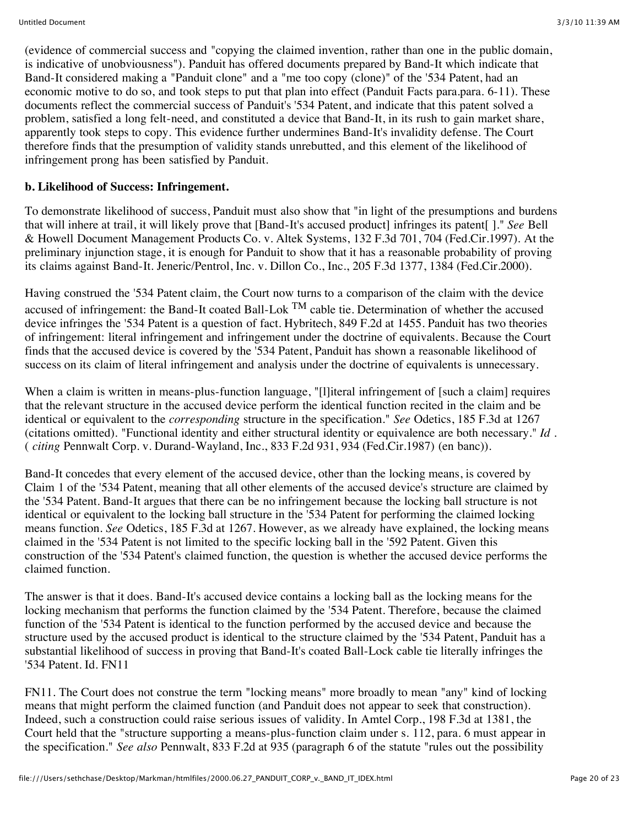(evidence of commercial success and "copying the claimed invention, rather than one in the public domain, is indicative of unobviousness"). Panduit has offered documents prepared by Band-It which indicate that Band-It considered making a "Panduit clone" and a "me too copy (clone)" of the '534 Patent, had an economic motive to do so, and took steps to put that plan into effect (Panduit Facts para.para. 6-11). These documents reflect the commercial success of Panduit's '534 Patent, and indicate that this patent solved a problem, satisfied a long felt-need, and constituted a device that Band-It, in its rush to gain market share, apparently took steps to copy. This evidence further undermines Band-It's invalidity defense. The Court therefore finds that the presumption of validity stands unrebutted, and this element of the likelihood of infringement prong has been satisfied by Panduit.

### **b. Likelihood of Success: Infringement.**

To demonstrate likelihood of success, Panduit must also show that "in light of the presumptions and burdens that will inhere at trail, it will likely prove that [Band-It's accused product] infringes its patent[ ]." *See* Bell & Howell Document Management Products Co. v. Altek Systems, 132 F.3d 701, 704 (Fed.Cir.1997). At the preliminary injunction stage, it is enough for Panduit to show that it has a reasonable probability of proving its claims against Band-It. Jeneric/Pentrol, Inc. v. Dillon Co., Inc., 205 F.3d 1377, 1384 (Fed.Cir.2000).

Having construed the '534 Patent claim, the Court now turns to a comparison of the claim with the device accused of infringement: the Band-It coated Ball-Lok  $^{TM}$  cable tie. Determination of whether the accused device infringes the '534 Patent is a question of fact. Hybritech, 849 F.2d at 1455. Panduit has two theories of infringement: literal infringement and infringement under the doctrine of equivalents. Because the Court finds that the accused device is covered by the '534 Patent, Panduit has shown a reasonable likelihood of success on its claim of literal infringement and analysis under the doctrine of equivalents is unnecessary.

When a claim is written in means-plus-function language, "[l]iteral infringement of [such a claim] requires that the relevant structure in the accused device perform the identical function recited in the claim and be identical or equivalent to the *corresponding* structure in the specification." *See* Odetics, 185 F.3d at 1267 (citations omitted). "Functional identity and either structural identity or equivalence are both necessary." *Id .* ( *citing* Pennwalt Corp. v. Durand-Wayland, Inc., 833 F.2d 931, 934 (Fed.Cir.1987) (en banc)).

Band-It concedes that every element of the accused device, other than the locking means, is covered by Claim 1 of the '534 Patent, meaning that all other elements of the accused device's structure are claimed by the '534 Patent. Band-It argues that there can be no infringement because the locking ball structure is not identical or equivalent to the locking ball structure in the '534 Patent for performing the claimed locking means function. *See* Odetics, 185 F.3d at 1267. However, as we already have explained, the locking means claimed in the '534 Patent is not limited to the specific locking ball in the '592 Patent. Given this construction of the '534 Patent's claimed function, the question is whether the accused device performs the claimed function.

The answer is that it does. Band-It's accused device contains a locking ball as the locking means for the locking mechanism that performs the function claimed by the '534 Patent. Therefore, because the claimed function of the '534 Patent is identical to the function performed by the accused device and because the structure used by the accused product is identical to the structure claimed by the '534 Patent, Panduit has a substantial likelihood of success in proving that Band-It's coated Ball-Lock cable tie literally infringes the '534 Patent. Id. FN11

FN11. The Court does not construe the term "locking means" more broadly to mean "any" kind of locking means that might perform the claimed function (and Panduit does not appear to seek that construction). Indeed, such a construction could raise serious issues of validity. In Amtel Corp., 198 F.3d at 1381, the Court held that the "structure supporting a means-plus-function claim under s. 112, para. 6 must appear in the specification." *See also* Pennwalt, 833 F.2d at 935 (paragraph 6 of the statute "rules out the possibility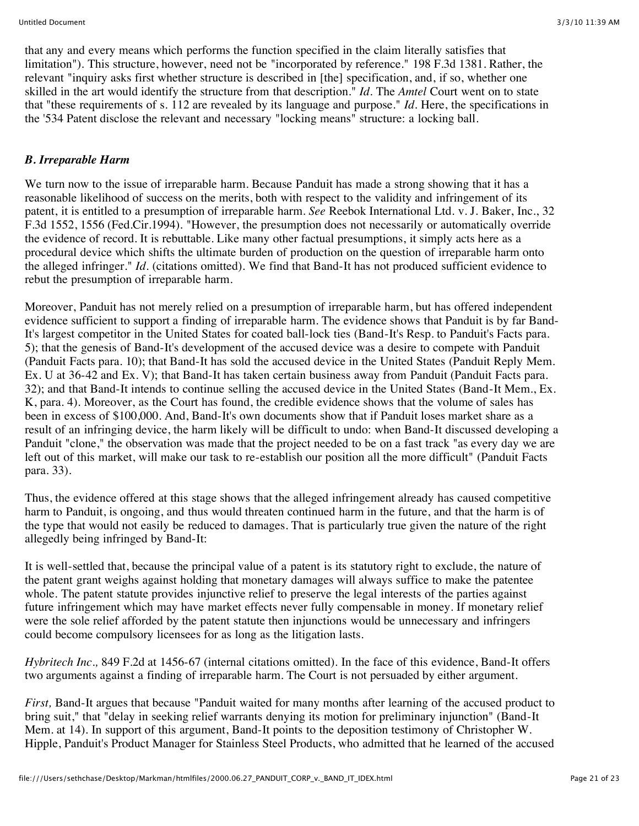that any and every means which performs the function specified in the claim literally satisfies that limitation"). This structure, however, need not be "incorporated by reference." 198 F.3d 1381. Rather, the relevant "inquiry asks first whether structure is described in [the] specification, and, if so, whether one skilled in the art would identify the structure from that description." *Id.* The *Amtel* Court went on to state that "these requirements of s. 112 are revealed by its language and purpose." *Id.* Here, the specifications in the '534 Patent disclose the relevant and necessary "locking means" structure: a locking ball.

### *B. Irreparable Harm*

We turn now to the issue of irreparable harm. Because Panduit has made a strong showing that it has a reasonable likelihood of success on the merits, both with respect to the validity and infringement of its patent, it is entitled to a presumption of irreparable harm. *See* Reebok International Ltd. v. J. Baker, Inc., 32 F.3d 1552, 1556 (Fed.Cir.1994). "However, the presumption does not necessarily or automatically override the evidence of record. It is rebuttable. Like many other factual presumptions, it simply acts here as a procedural device which shifts the ultimate burden of production on the question of irreparable harm onto the alleged infringer." *Id.* (citations omitted). We find that Band-It has not produced sufficient evidence to rebut the presumption of irreparable harm.

Moreover, Panduit has not merely relied on a presumption of irreparable harm, but has offered independent evidence sufficient to support a finding of irreparable harm. The evidence shows that Panduit is by far Band-It's largest competitor in the United States for coated ball-lock ties (Band-It's Resp. to Panduit's Facts para. 5); that the genesis of Band-It's development of the accused device was a desire to compete with Panduit (Panduit Facts para. 10); that Band-It has sold the accused device in the United States (Panduit Reply Mem. Ex. U at 36-42 and Ex. V); that Band-It has taken certain business away from Panduit (Panduit Facts para. 32); and that Band-It intends to continue selling the accused device in the United States (Band-It Mem., Ex. K, para. 4). Moreover, as the Court has found, the credible evidence shows that the volume of sales has been in excess of \$100,000. And, Band-It's own documents show that if Panduit loses market share as a result of an infringing device, the harm likely will be difficult to undo: when Band-It discussed developing a Panduit "clone," the observation was made that the project needed to be on a fast track "as every day we are left out of this market, will make our task to re-establish our position all the more difficult" (Panduit Facts para. 33).

Thus, the evidence offered at this stage shows that the alleged infringement already has caused competitive harm to Panduit, is ongoing, and thus would threaten continued harm in the future, and that the harm is of the type that would not easily be reduced to damages. That is particularly true given the nature of the right allegedly being infringed by Band-It:

It is well-settled that, because the principal value of a patent is its statutory right to exclude, the nature of the patent grant weighs against holding that monetary damages will always suffice to make the patentee whole. The patent statute provides injunctive relief to preserve the legal interests of the parties against future infringement which may have market effects never fully compensable in money. If monetary relief were the sole relief afforded by the patent statute then injunctions would be unnecessary and infringers could become compulsory licensees for as long as the litigation lasts.

*Hybritech Inc.,* 849 F.2d at 1456-67 (internal citations omitted). In the face of this evidence, Band-It offers two arguments against a finding of irreparable harm. The Court is not persuaded by either argument.

*First,* Band-It argues that because "Panduit waited for many months after learning of the accused product to bring suit," that "delay in seeking relief warrants denying its motion for preliminary injunction" (Band-It Mem. at 14). In support of this argument, Band-It points to the deposition testimony of Christopher W. Hipple, Panduit's Product Manager for Stainless Steel Products, who admitted that he learned of the accused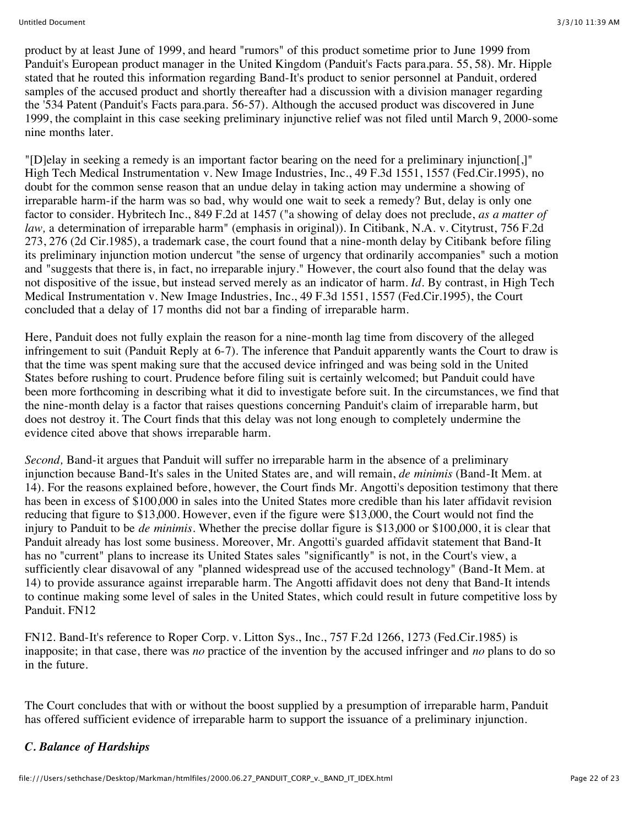product by at least June of 1999, and heard "rumors" of this product sometime prior to June 1999 from Panduit's European product manager in the United Kingdom (Panduit's Facts para.para. 55, 58). Mr. Hipple stated that he routed this information regarding Band-It's product to senior personnel at Panduit, ordered samples of the accused product and shortly thereafter had a discussion with a division manager regarding the '534 Patent (Panduit's Facts para.para. 56-57). Although the accused product was discovered in June 1999, the complaint in this case seeking preliminary injunctive relief was not filed until March 9, 2000-some nine months later.

"[D]elay in seeking a remedy is an important factor bearing on the need for a preliminary injunction[,]" High Tech Medical Instrumentation v. New Image Industries, Inc., 49 F.3d 1551, 1557 (Fed.Cir.1995), no doubt for the common sense reason that an undue delay in taking action may undermine a showing of irreparable harm-if the harm was so bad, why would one wait to seek a remedy? But, delay is only one factor to consider. Hybritech Inc., 849 F.2d at 1457 ("a showing of delay does not preclude, *as a matter of law,* a determination of irreparable harm" (emphasis in original)). In Citibank, N.A. v. Citytrust, 756 F.2d 273, 276 (2d Cir.1985), a trademark case, the court found that a nine-month delay by Citibank before filing its preliminary injunction motion undercut "the sense of urgency that ordinarily accompanies" such a motion and "suggests that there is, in fact, no irreparable injury." However, the court also found that the delay was not dispositive of the issue, but instead served merely as an indicator of harm. *Id.* By contrast, in High Tech Medical Instrumentation v. New Image Industries, Inc., 49 F.3d 1551, 1557 (Fed.Cir.1995), the Court concluded that a delay of 17 months did not bar a finding of irreparable harm.

Here, Panduit does not fully explain the reason for a nine-month lag time from discovery of the alleged infringement to suit (Panduit Reply at 6-7). The inference that Panduit apparently wants the Court to draw is that the time was spent making sure that the accused device infringed and was being sold in the United States before rushing to court. Prudence before filing suit is certainly welcomed; but Panduit could have been more forthcoming in describing what it did to investigate before suit. In the circumstances, we find that the nine-month delay is a factor that raises questions concerning Panduit's claim of irreparable harm, but does not destroy it. The Court finds that this delay was not long enough to completely undermine the evidence cited above that shows irreparable harm.

*Second,* Band-it argues that Panduit will suffer no irreparable harm in the absence of a preliminary injunction because Band-It's sales in the United States are, and will remain, *de minimis* (Band-It Mem. at 14). For the reasons explained before, however, the Court finds Mr. Angotti's deposition testimony that there has been in excess of \$100,000 in sales into the United States more credible than his later affidavit revision reducing that figure to \$13,000. However, even if the figure were \$13,000, the Court would not find the injury to Panduit to be *de minimis.* Whether the precise dollar figure is \$13,000 or \$100,000, it is clear that Panduit already has lost some business. Moreover, Mr. Angotti's guarded affidavit statement that Band-It has no "current" plans to increase its United States sales "significantly" is not, in the Court's view, a sufficiently clear disavowal of any "planned widespread use of the accused technology" (Band-It Mem. at 14) to provide assurance against irreparable harm. The Angotti affidavit does not deny that Band-It intends to continue making some level of sales in the United States, which could result in future competitive loss by Panduit. FN12

FN12. Band-It's reference to Roper Corp. v. Litton Sys., Inc., 757 F.2d 1266, 1273 (Fed.Cir.1985) is inapposite; in that case, there was *no* practice of the invention by the accused infringer and *no* plans to do so in the future.

The Court concludes that with or without the boost supplied by a presumption of irreparable harm, Panduit has offered sufficient evidence of irreparable harm to support the issuance of a preliminary injunction.

## *C. Balance of Hardships*